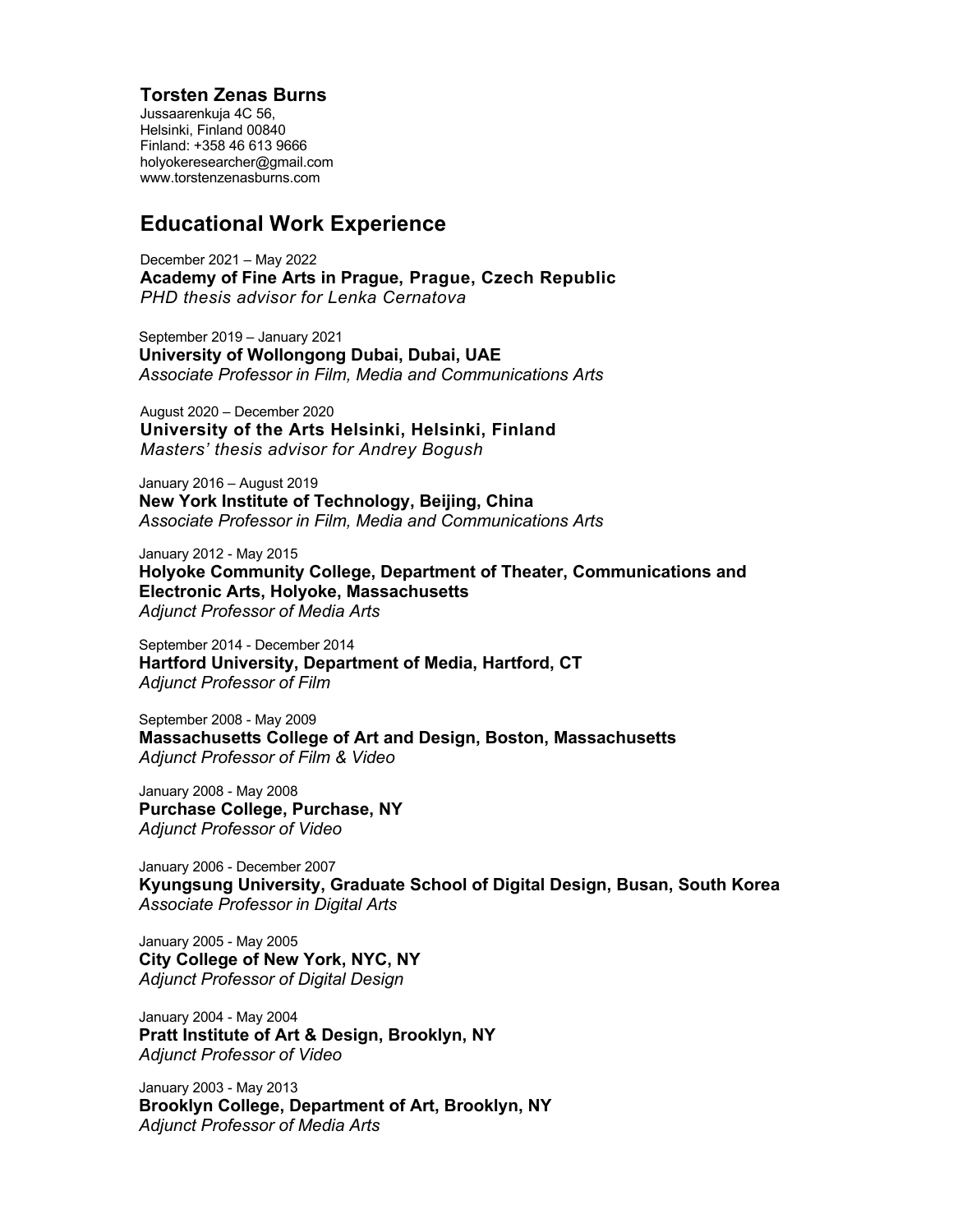## **Torsten Zenas Burns**

Jussaarenkuja 4C 56, Helsinki, Finland 00840 Finland: +358 46 613 9666 holyokeresearcher@gmail.com www.torstenzenasburns.com

## **Educational Work Experience**

December 2021 – May 2022 **Academy of Fine Arts in Prague, Prague, Czech Republic** *PHD thesis advisor for Lenka Cernatova*

September 2019 – January 2021 **University of Wollongong Dubai, Dubai, UAE** *Associate Professor in Film, Media and Communications Arts*

August 2020 – December 2020 **University of the Arts Helsinki, Helsinki, Finland** *Masters' thesis advisor for Andrey Bogush*

January 2016 – August 2019 **New York Institute of Technology, Beijing, China** *Associate Professor in Film, Media and Communications Arts*

January 2012 - May 2015 **Holyoke Community College, Department of Theater, Communications and Electronic Arts, Holyoke, Massachusetts** *Adjunct Professor of Media Arts*

September 2014 - December 2014 **Hartford University, Department of Media, Hartford, CT** *Adjunct Professor of Film*

September 2008 - May 2009 **Massachusetts College of Art and Design, Boston, Massachusetts** *Adjunct Professor of Film & Video*

January 2008 - May 2008 **Purchase College, Purchase, NY** *Adjunct Professor of Video*

January 2006 - December 2007 **Kyungsung University, Graduate School of Digital Design, Busan, South Korea** *Associate Professor in Digital Arts*

January 2005 - May 2005 **City College of New York, NYC, NY**  *Adjunct Professor of Digital Design* 

January 2004 - May 2004 **Pratt Institute of Art & Design, Brooklyn, NY**  *Adjunct Professor of Video*

January 2003 - May 2013 **Brooklyn College, Department of Art, Brooklyn, NY** *Adjunct Professor of Media Arts*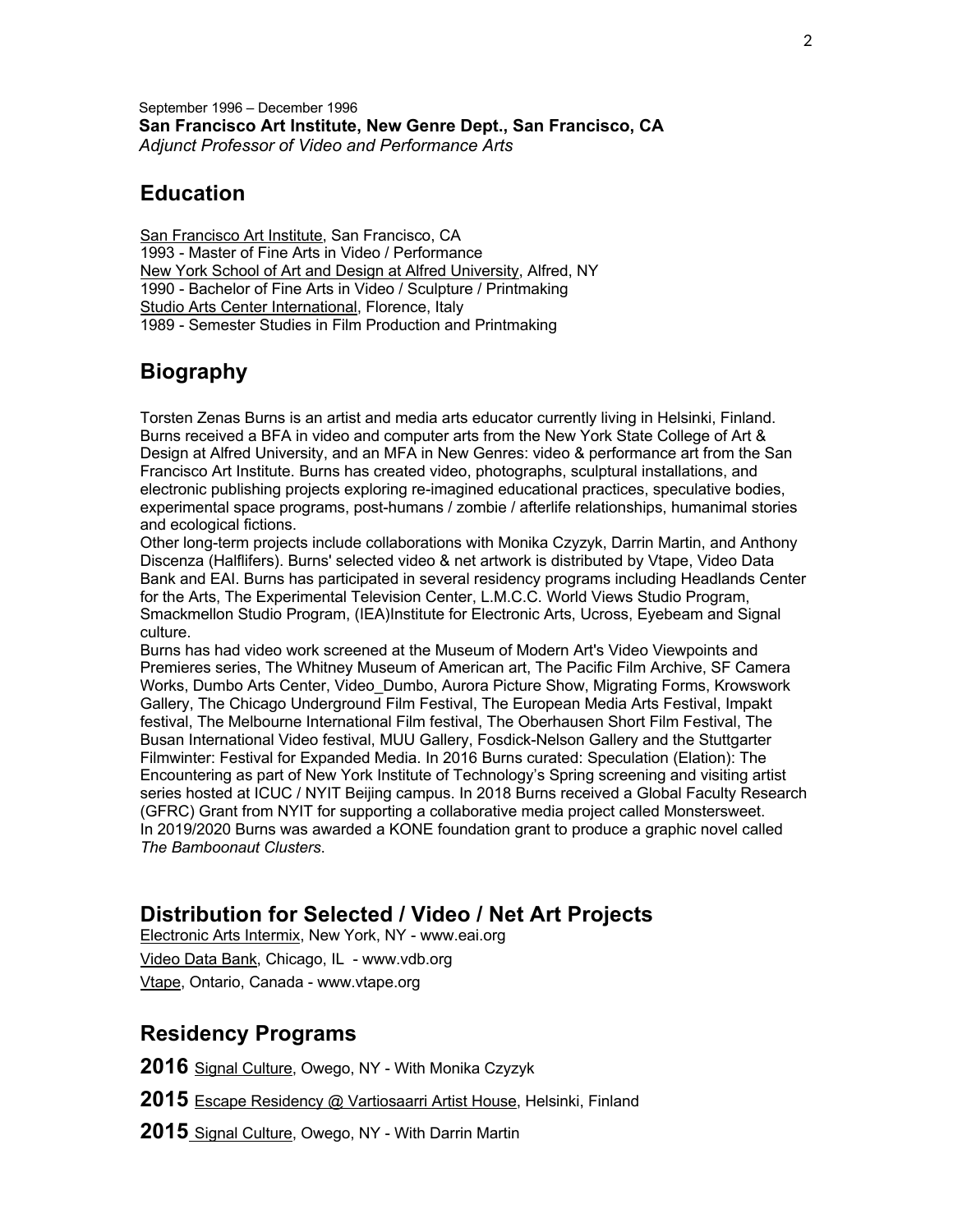September 1996 – December 1996 **San Francisco Art Institute, New Genre Dept., San Francisco, CA**  *Adjunct Professor of Video and Performance Arts*

## **Education**

San Francisco Art Institute, San Francisco, CA 1993 - Master of Fine Arts in Video / Performance New York School of Art and Design at Alfred University, Alfred, NY 1990 - Bachelor of Fine Arts in Video / Sculpture / Printmaking Studio Arts Center International, Florence, Italy 1989 - Semester Studies in Film Production and Printmaking

# **Biography**

Torsten Zenas Burns is an artist and media arts educator currently living in Helsinki, Finland. Burns received a BFA in video and computer arts from the New York State College of Art & Design at Alfred University, and an MFA in New Genres: video & performance art from the San Francisco Art Institute. Burns has created video, photographs, sculptural installations, and electronic publishing projects exploring re-imagined educational practices, speculative bodies, experimental space programs, post-humans / zombie / afterlife relationships, humanimal stories and ecological fictions.

Other long-term projects include collaborations with Monika Czyzyk, Darrin Martin, and Anthony Discenza (Halflifers). Burns' selected video & net artwork is distributed by Vtape, Video Data Bank and EAI. Burns has participated in several residency programs including Headlands Center for the Arts, The Experimental Television Center, L.M.C.C. World Views Studio Program, Smackmellon Studio Program, (IEA)Institute for Electronic Arts, Ucross, Eyebeam and Signal culture.

Burns has had video work screened at the Museum of Modern Art's Video Viewpoints and Premieres series, The Whitney Museum of American art, The Pacific Film Archive, SF Camera Works, Dumbo Arts Center, Video\_Dumbo, Aurora Picture Show, Migrating Forms, Krowswork Gallery, The Chicago Underground Film Festival, The European Media Arts Festival, Impakt festival, The Melbourne International Film festival, The Oberhausen Short Film Festival, The Busan International Video festival, MUU Gallery, Fosdick-Nelson Gallery and the Stuttgarter Filmwinter: Festival for Expanded Media. In 2016 Burns curated: Speculation (Elation): The Encountering as part of New York Institute of Technology's Spring screening and visiting artist series hosted at ICUC / NYIT Beijing campus. In 2018 Burns received a Global Faculty Research (GFRC) Grant from NYIT for supporting a collaborative media project called Monstersweet. In 2019/2020 Burns was awarded a KONE foundation grant to produce a graphic novel called *The Bamboonaut Clusters*.

# **Distribution for Selected / Video / Net Art Projects**

Electronic Arts Intermix, New York, NY - www.eai.org Video Data Bank, Chicago, IL - www.vdb.org Vtape, Ontario, Canada - www.vtape.org

## **Residency Programs**

**2016** Signal Culture, Owego, NY - With Monika Czyzyk

**2015** Escape Residency @ Vartiosaarri Artist House, Helsinki, Finland

**2015** Signal Culture, Owego, NY - With Darrin Martin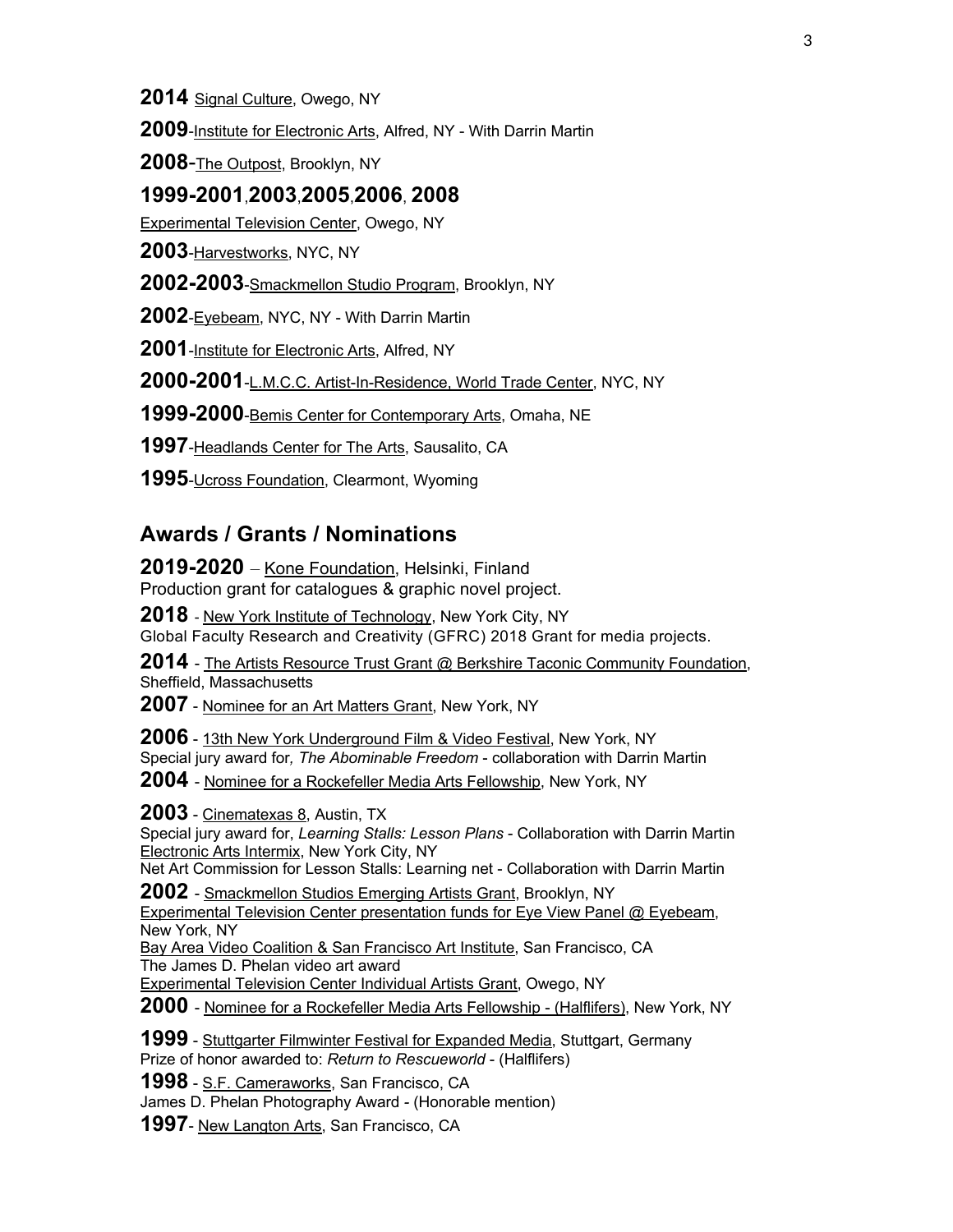**2014** Signal Culture, Owego, NY

**2009**-Institute for Electronic Arts, Alfred, NY - With Darrin Martin

**2008**-The Outpost, Brooklyn, NY

## **1999-2001**,**2003**,**2005**,**2006**, **2008**

Experimental Television Center, Owego, NY

**2003**-Harvestworks, NYC, NY

**2002-2003**-Smackmellon Studio Program, Brooklyn, NY

**2002**-Eyebeam, NYC, NY - With Darrin Martin

**2001**-Institute for Electronic Arts, Alfred, NY

**2000-2001**-L.M.C.C. Artist-In-Residence, World Trade Center, NYC, NY

**1999-2000**-Bemis Center for Contemporary Arts, Omaha, NE

**1997**-Headlands Center for The Arts, Sausalito, CA

**1995**-Ucross Foundation, Clearmont, Wyoming

## **Awards / Grants / Nominations**

**2019-2020** – Kone Foundation, Helsinki, Finland Production grant for catalogues & graphic novel project.

**2018** - New York Institute of Technology, New York City, NY

Global Faculty Research and Creativity (GFRC) 2018 Grant for media projects.

**2014** - The Artists Resource Trust Grant @ Berkshire Taconic Community Foundation, Sheffield, Massachusetts

**2007** - Nominee for an Art Matters Grant, New York, NY

**2006** - 13th New York Underground Film & Video Festival, New York, NY Special jury award for*, The Abominable Freedom* - collaboration with Darrin Martin

**2004** - Nominee for a Rockefeller Media Arts Fellowship, New York, NY

**2003** - Cinematexas 8, Austin, TX

Special jury award for, *Learning Stalls: Lesson Plans* - Collaboration with Darrin Martin Electronic Arts Intermix, New York City, NY

Net Art Commission for Lesson Stalls: Learning net - Collaboration with Darrin Martin

**2002** - Smackmellon Studios Emerging Artists Grant, Brooklyn, NY

Experimental Television Center presentation funds for Eye View Panel @ Eyebeam, New York, NY

Bay Area Video Coalition & San Francisco Art Institute, San Francisco, CA The James D. Phelan video art award

Experimental Television Center Individual Artists Grant, Owego, NY

**2000** - Nominee for a Rockefeller Media Arts Fellowship - (Halflifers), New York, NY

**1999** - Stuttgarter Filmwinter Festival for Expanded Media, Stuttgart, Germany Prize of honor awarded to: *Return to Rescueworld* - (Halflifers)

**1998** - S.F. Cameraworks, San Francisco, CA

James D. Phelan Photography Award *-* (Honorable mention)

**1997**- New Langton Arts, San Francisco, CA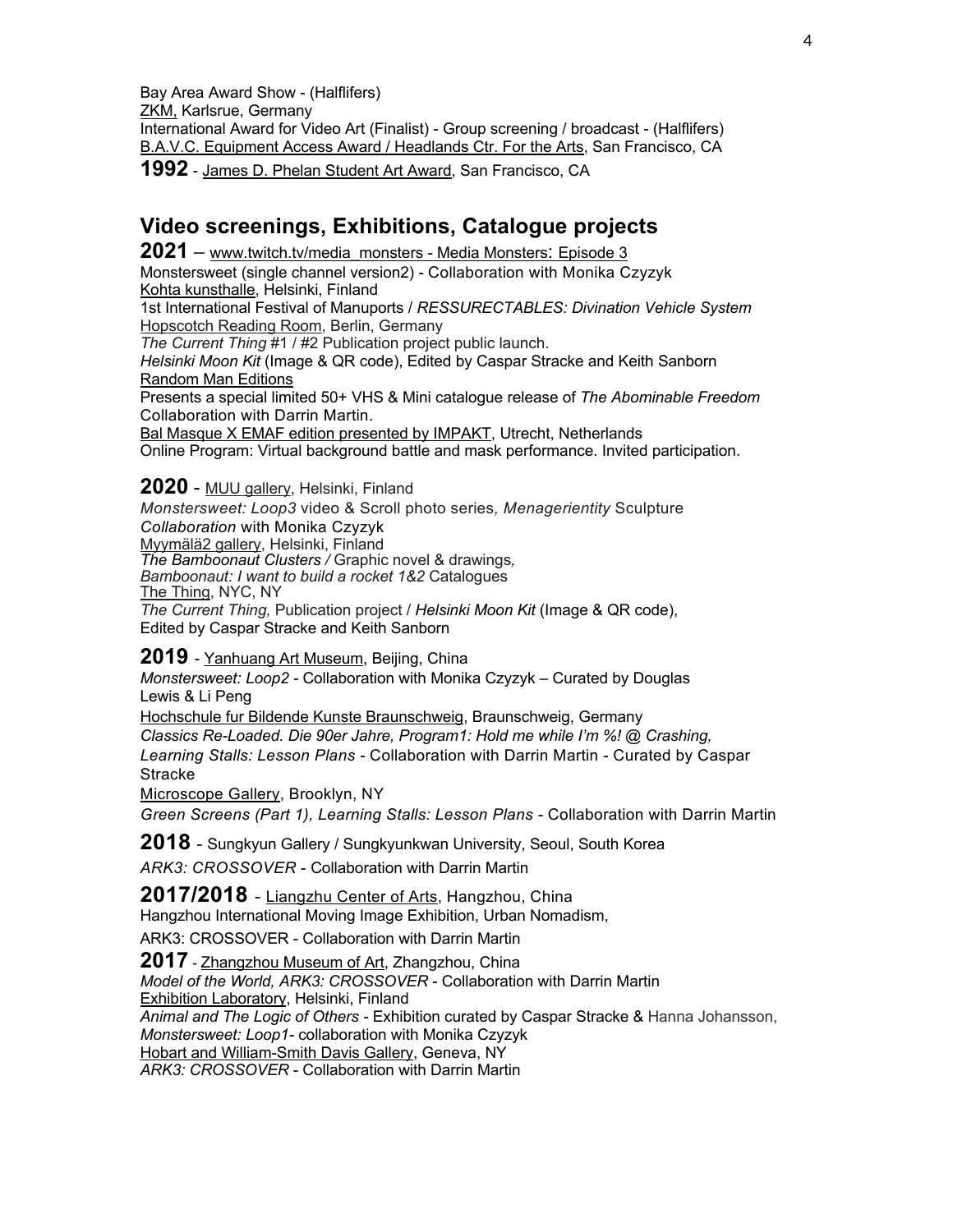Bay Area Award Show - (Halflifers) ZKM, Karlsrue, Germany International Award for Video Art (Finalist) - Group screening / broadcast - (Halflifers) B.A.V.C. Equipment Access Award / Headlands Ctr. For the Arts, San Francisco, CA **1992** - James D. Phelan Student Art Award, San Francisco, CA

# **Video screenings, Exhibitions, Catalogue projects**

**2021 –** www.twitch.tv/media\_monsters - Media Monsters: Episode 3 Monstersweet (single channel version2) - Collaboration with Monika Czyzyk Kohta kunsthalle, Helsinki, Finland 1st International Festival of Manuports / *RESSURECTABLES: Divination Vehicle System*  Hopscotch Reading Room, Berlin, Germany *The Current Thing* #1 / #2 Publication project public launch. *Helsinki Moon Kit* (Image & QR code), Edited by Caspar Stracke and Keith Sanborn Random Man Editions Presents a special limited 50+ VHS & Mini catalogue release of *The Abominable Freedom*  Collaboration with Darrin Martin. Bal Masque X EMAF edition presented by IMPAKT, Utrecht, Netherlands Online Program: Virtual background battle and mask performance. Invited participation.

## **2020** - MUU gallery, Helsinki, Finland

*Monstersweet: Loop3* video & Scroll photo series*, Menagerientity* Sculpture *Collaboration* with Monika Czyzyk Myymälä2 gallery, Helsinki, Finland *The Bamboonaut Clusters /* Graphic novel & drawings*, Bamboonaut: I want to build a rocket 1&2* Catalogues The Thing, NYC, NY *The Current Thing,* Publication project / *Helsinki Moon Kit* (Image & QR code), Edited by Caspar Stracke and Keith Sanborn

**2019** - Yanhuang Art Museum, Beijing, China

*Monstersweet: Loop2 -* Collaboration with Monika Czyzyk – Curated by Douglas Lewis & Li Peng

Hochschule fur Bildende Kunste Braunschweig, Braunschweig, Germany *Classics Re-Loaded. Die 90er Jahre, Program1: Hold me while I'm %! @ Crashing, Learning Stalls: Lesson Plans -* Collaboration with Darrin Martin - Curated by Caspar Stracke

Microscope Gallery, Brooklyn, NY

*Green Screens (Part 1), Learning Stalls: Lesson Plans -* Collaboration with Darrin Martin

**2018** - Sungkyun Gallery / Sungkyunkwan University, Seoul, South Korea *ARK3: CROSSOVER* - Collaboration with Darrin Martin

**2017/2018** - Liangzhu Center of Arts, Hangzhou, China Hangzhou International Moving Image Exhibition, Urban Nomadism,

ARK3: CROSSOVER - Collaboration with Darrin Martin

**2017** - Zhangzhou Museum of Art, Zhangzhou, China *Model of the World, ARK3: CROSSOVER* - Collaboration with Darrin Martin Exhibition Laboratory, Helsinki, Finland *Animal and The Logic of Others -* Exhibition curated by Caspar Stracke & Hanna Johansson, *Monstersweet: Loop1-* collaboration with Monika Czyzyk Hobart and William-Smith Davis Gallery, Geneva, NY *ARK3: CROSSOVER* - Collaboration with Darrin Martin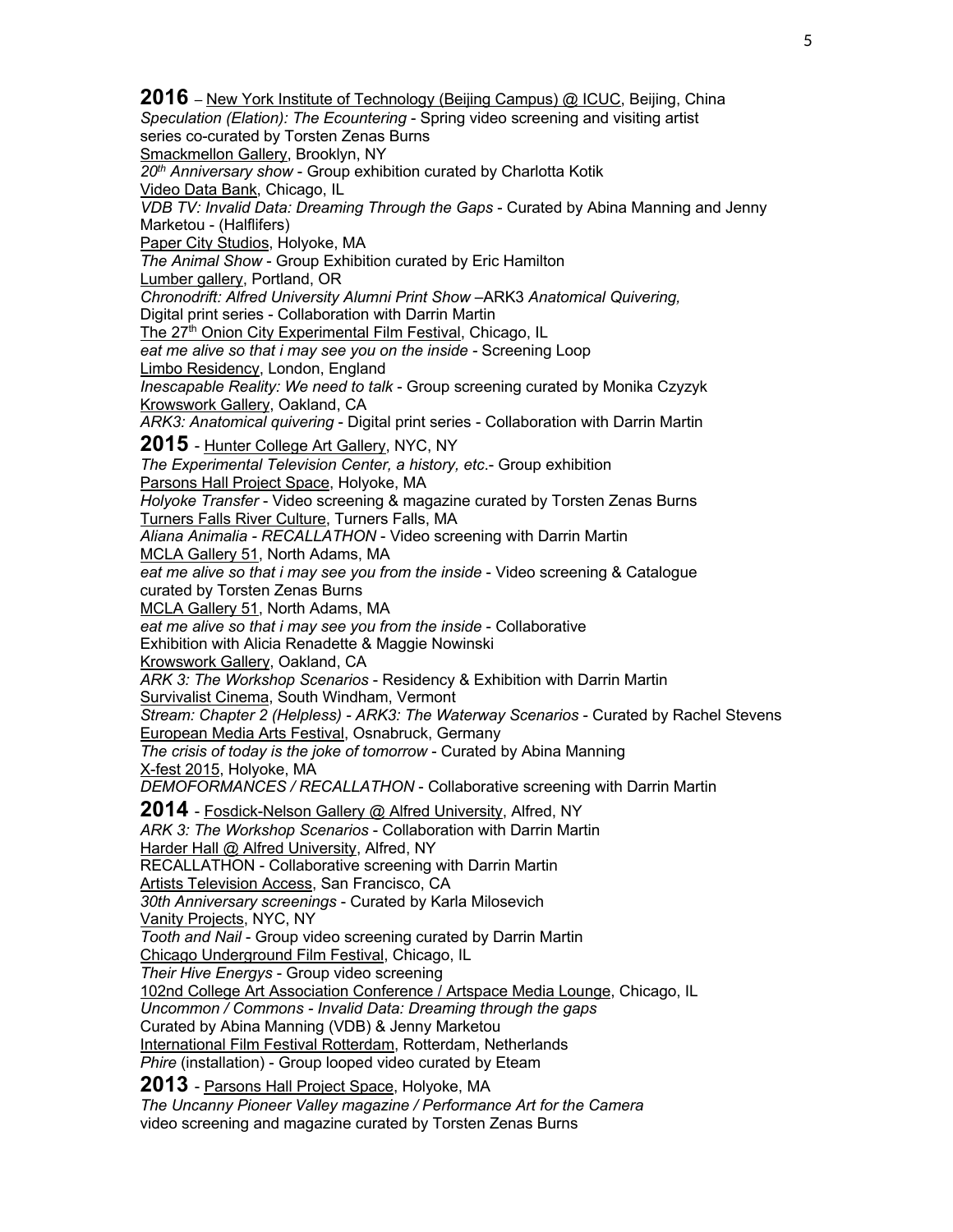**2016** – New York Institute of Technology (Beijing Campus) @ ICUC, Beijing, China *Speculation (Elation): The Ecountering* - Spring video screening and visiting artist series co-curated by Torsten Zenas Burns Smackmellon Gallery, Brooklyn, NY *20th Anniversary show* - Group exhibition curated by Charlotta Kotik Video Data Bank, Chicago, IL *VDB TV: Invalid Data: Dreaming Through the Gaps* - Curated by Abina Manning and Jenny Marketou - (Halflifers) Paper City Studios, Holyoke, MA *The Animal Show* - Group Exhibition curated by Eric Hamilton Lumber gallery, Portland, OR *Chronodrift: Alfred University Alumni Print Show* –ARK3 *Anatomical Quivering,* Digital print series - Collaboration with Darrin Martin The 27<sup>th</sup> Onion City Experimental Film Festival, Chicago, IL *eat me alive so that i may see you on the inside -* Screening Loop Limbo Residency, London, England *Inescapable Reality: We need to talk* - Group screening curated by Monika Czyzyk Krowswork Gallery, Oakland, CA *ARK3: Anatomical quivering* - Digital print series - Collaboration with Darrin Martin **2015** - Hunter College Art Gallery, NYC, NY *The Experimental Television Center, a history, etc*.- Group exhibition Parsons Hall Project Space, Holyoke, MA *Holyoke Transfer* - Video screening & magazine curated by Torsten Zenas Burns Turners Falls River Culture, Turners Falls, MA *Aliana Animalia - RECALLATHON* - Video screening with Darrin Martin MCLA Gallery 51, North Adams, MA *eat me alive so that i may see you from the inside* - Video screening & Catalogue curated by Torsten Zenas Burns MCLA Gallery 51, North Adams, MA *eat me alive so that i may see you from the inside* - Collaborative Exhibition with Alicia Renadette & Maggie Nowinski Krowswork Gallery, Oakland, CA *ARK 3: The Workshop Scenarios* - Residency & Exhibition with Darrin Martin Survivalist Cinema, South Windham, Vermont *Stream: Chapter 2 (Helpless) - ARK3: The Waterway Scenarios* - Curated by Rachel Stevens European Media Arts Festival, Osnabruck, Germany *The crisis of today is the joke of tomorrow* - Curated by Abina Manning X-fest 2015, Holyoke, MA *DEMOFORMANCES / RECALLATHON* - Collaborative screening with Darrin Martin **2014** - Fosdick-Nelson Gallery @ Alfred University, Alfred, NY *ARK 3: The Workshop Scenarios* - Collaboration with Darrin Martin Harder Hall @ Alfred University, Alfred, NY RECALLATHON - Collaborative screening with Darrin Martin Artists Television Access, San Francisco, CA *30th Anniversary screenings* - Curated by Karla Milosevich Vanity Projects, NYC, NY *Tooth and Nail* - Group video screening curated by Darrin Martin Chicago Underground Film Festival, Chicago, IL *Their Hive Energys* - Group video screening 102nd College Art Association Conference / Artspace Media Lounge, Chicago, IL *Uncommon / Commons - Invalid Data: Dreaming through the gaps* Curated by Abina Manning (VDB) & Jenny Marketou International Film Festival Rotterdam, Rotterdam, Netherlands *Phire* (installation) - Group looped video curated by Eteam **2013** - Parsons Hall Project Space, Holyoke, MA *The Uncanny Pioneer Valley magazine / Performance Art for the Camera* video screening and magazine curated by Torsten Zenas Burns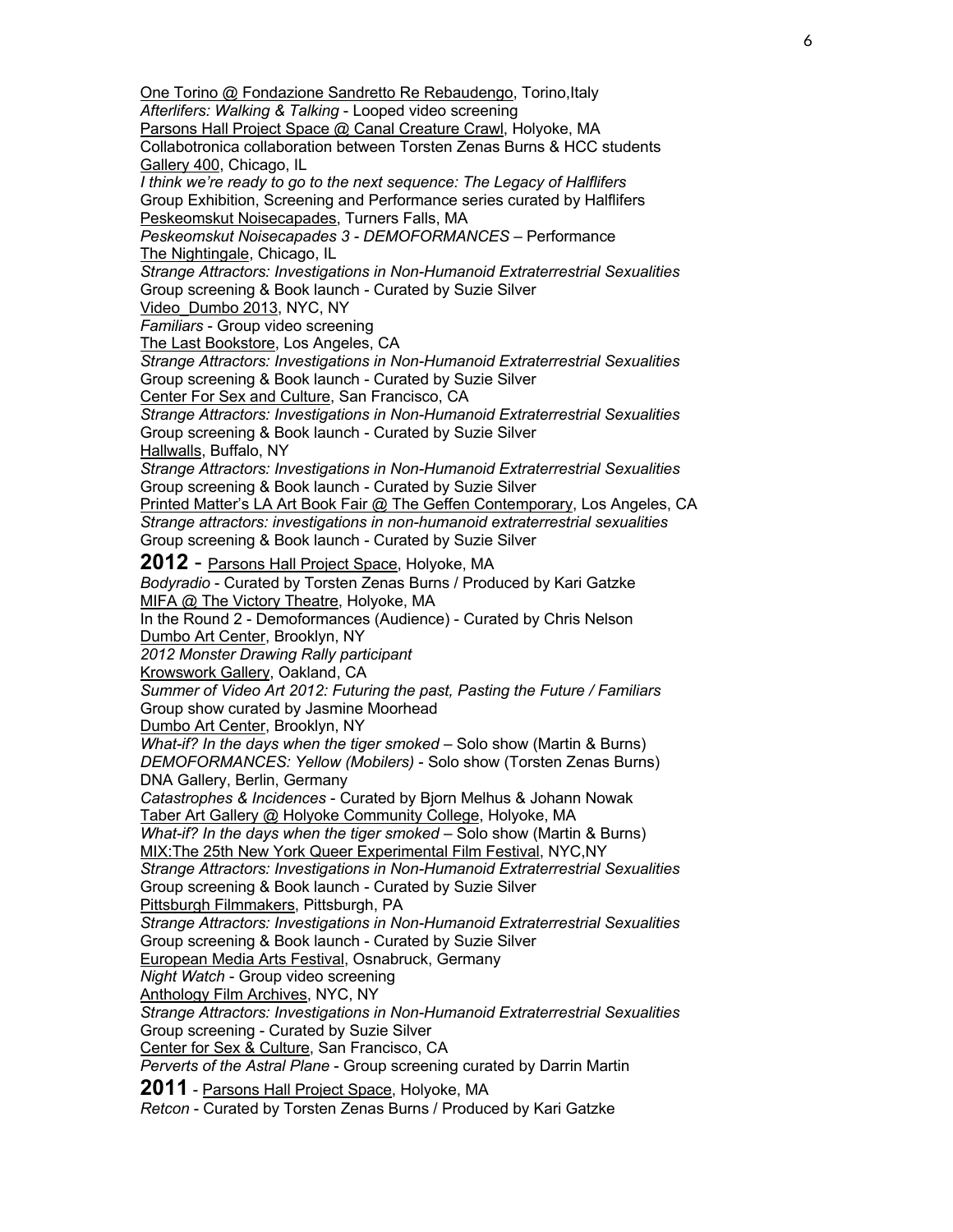One Torino @ Fondazione Sandretto Re Rebaudengo, Torino, Italy *Afterlifers: Walking & Talking* - Looped video screening Parsons Hall Project Space @ Canal Creature Crawl, Holyoke, MA Collabotronica collaboration between Torsten Zenas Burns & HCC students Gallery 400, Chicago, IL *I think we're ready to go to the next sequence: The Legacy of Halflifers* Group Exhibition, Screening and Performance series curated by Halflifers Peskeomskut Noisecapades, Turners Falls, MA *Peskeomskut Noisecapades 3 - DEMOFORMANCES* – Performance The Nightingale, Chicago, IL *Strange Attractors: Investigations in Non-Humanoid Extraterrestrial Sexualities* Group screening & Book launch - Curated by Suzie Silver Video\_Dumbo 2013, NYC, NY *Familiars* - Group video screening The Last Bookstore, Los Angeles, CA *Strange Attractors: Investigations in Non-Humanoid Extraterrestrial Sexualities* Group screening & Book launch - Curated by Suzie Silver Center For Sex and Culture, San Francisco, CA *Strange Attractors: Investigations in Non-Humanoid Extraterrestrial Sexualities* Group screening & Book launch - Curated by Suzie Silver Hallwalls, Buffalo, NY *Strange Attractors: Investigations in Non-Humanoid Extraterrestrial Sexualities* Group screening & Book launch - Curated by Suzie Silver Printed Matter's LA Art Book Fair @ The Geffen Contemporary, Los Angeles, CA *Strange attractors: investigations in non-humanoid extraterrestrial sexualities* Group screening & Book launch - Curated by Suzie Silver **2012** - Parsons Hall Project Space, Holyoke, MA *Bodyradio* - Curated by Torsten Zenas Burns / Produced by Kari Gatzke MIFA @ The Victory Theatre, Holyoke, MA In the Round 2 - Demoformances (Audience) - Curated by Chris Nelson Dumbo Art Center, Brooklyn, NY *2012 Monster Drawing Rally participant* Krowswork Gallery, Oakland, CA *Summer of Video Art 2012: Futuring the past, Pasting the Future / Familiars* Group show curated by Jasmine Moorhead Dumbo Art Center, Brooklyn, NY *What-if? In the days when the tiger smoked* – Solo show (Martin & Burns) *DEMOFORMANCES: Yellow (Mobilers)* - Solo show (Torsten Zenas Burns) DNA Gallery, Berlin, Germany *Catastrophes & Incidences* - Curated by Bjorn Melhus & Johann Nowak Taber Art Gallery @ Holyoke Community College, Holyoke, MA *What-if? In the days when the tiger smoked* – Solo show (Martin & Burns) MIX:The 25th New York Queer Experimental Film Festival, NYC,NY *Strange Attractors: Investigations in Non-Humanoid Extraterrestrial Sexualities* Group screening & Book launch - Curated by Suzie Silver Pittsburgh Filmmakers, Pittsburgh, PA *Strange Attractors: Investigations in Non-Humanoid Extraterrestrial Sexualities* Group screening & Book launch - Curated by Suzie Silver European Media Arts Festival, Osnabruck, Germany *Night Watch* - Group video screening Anthology Film Archives, NYC, NY *Strange Attractors: Investigations in Non-Humanoid Extraterrestrial Sexualities* Group screening - Curated by Suzie Silver Center for Sex & Culture, San Francisco, CA *Perverts of the Astral Plane* - Group screening curated by Darrin Martin **2011** - Parsons Hall Project Space, Holyoke, MA *Retcon* - Curated by Torsten Zenas Burns / Produced by Kari Gatzke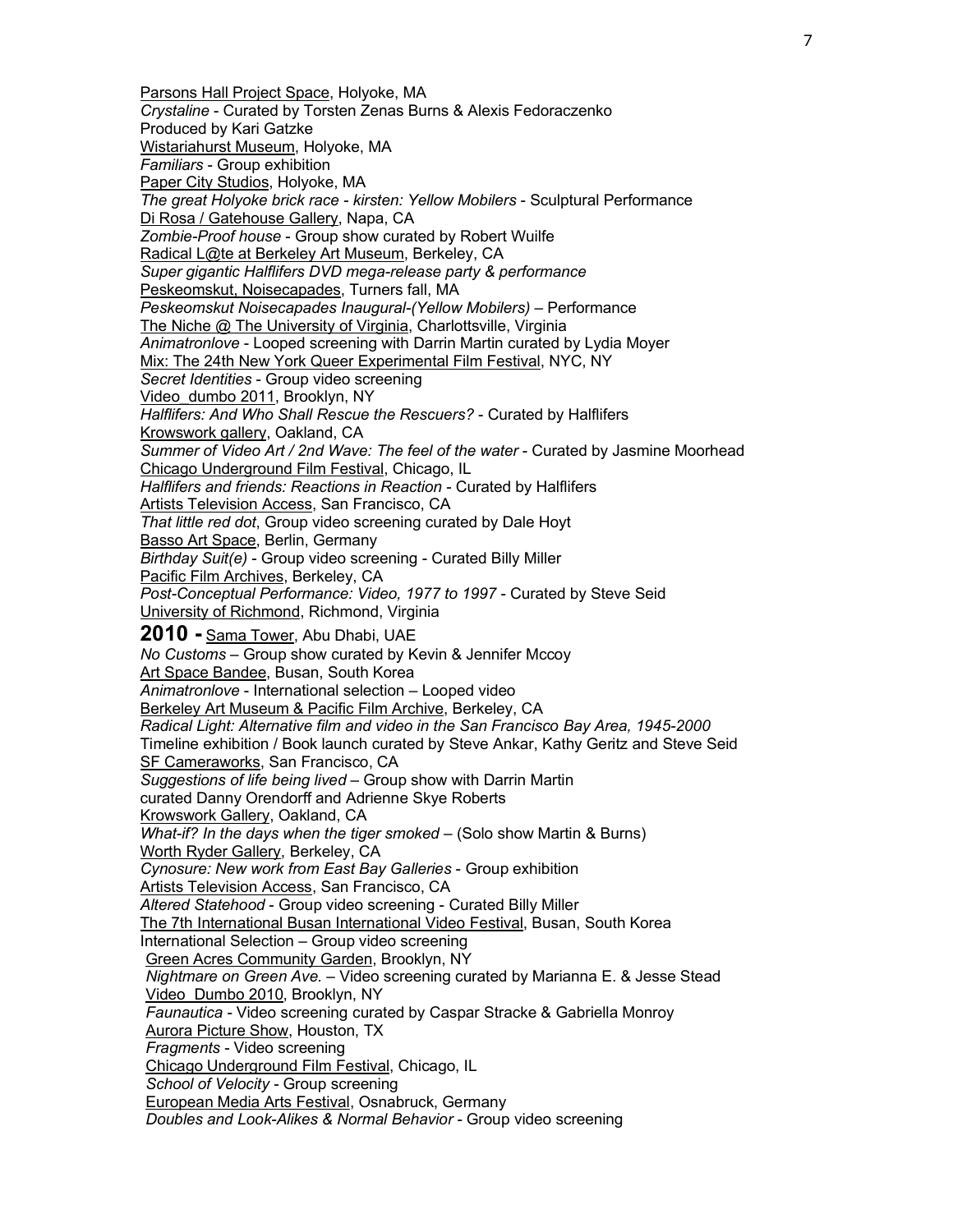Parsons Hall Project Space, Holyoke, MA *Crystaline* - Curated by Torsten Zenas Burns & Alexis Fedoraczenko Produced by Kari Gatzke Wistariahurst Museum, Holyoke, MA *Familiars* - Group exhibition Paper City Studios, Holyoke, MA *The great Holyoke brick race - kirsten: Yellow Mobilers* - Sculptural Performance Di Rosa / Gatehouse Gallery, Napa, CA *Zombie-Proof house* - Group show curated by Robert Wuilfe Radical L@te at Berkeley Art Museum, Berkeley, CA *Super gigantic Halflifers DVD mega-release party & performance* Peskeomskut, Noisecapades, Turners fall, MA *Peskeomskut Noisecapades Inaugural-(Yellow Mobilers)* – Performance The Niche @ The University of Virginia, Charlottsville, Virginia *Animatronlove* - Looped screening with Darrin Martin curated by Lydia Moyer Mix: The 24th New York Queer Experimental Film Festival, NYC, NY *Secret Identities* - Group video screening Video\_dumbo 2011, Brooklyn, NY *Halflifers: And Who Shall Rescue the Rescuers?* - Curated by Halflifers Krowswork gallery, Oakland, CA *Summer of Video Art / 2nd Wave: The feel of the water* - Curated by Jasmine Moorhead Chicago Underground Film Festival, Chicago, IL *Halflifers and friends: Reactions in Reaction* - Curated by Halflifers Artists Television Access, San Francisco, CA *That little red dot*, Group video screening curated by Dale Hoyt Basso Art Space, Berlin, Germany *Birthday Suit(e)* - Group video screening - Curated Billy Miller Pacific Film Archives, Berkeley, CA *Post-Conceptual Performance: Video, 1977 to 1997* - Curated by Steve Seid University of Richmond, Richmond, Virginia **2010 -** Sama Tower, Abu Dhabi, UAE *No Customs* – Group show curated by Kevin & Jennifer Mccoy Art Space Bandee, Busan, South Korea *Animatronlove* - International selection – Looped video Berkeley Art Museum & Pacific Film Archive, Berkeley, CA *Radical Light: Alternative film and video in the San Francisco Bay Area, 1945-2000* Timeline exhibition / Book launch curated by Steve Ankar, Kathy Geritz and Steve Seid SF Cameraworks, San Francisco, CA *Suggestions of life being lived* – Group show with Darrin Martin curated Danny Orendorff and Adrienne Skye Roberts Krowswork Gallery, Oakland, CA *What-if? In the days when the tiger smoked* – (Solo show Martin & Burns) Worth Ryder Gallery, Berkeley, CA *Cynosure: New work from East Bay Galleries* - Group exhibition Artists Television Access, San Francisco, CA *Altered Statehood* - Group video screening - Curated Billy Miller The 7th International Busan International Video Festival, Busan, South Korea International Selection – Group video screening Green Acres Community Garden, Brooklyn, NY *Nightmare on Green Ave.* – Video screening curated by Marianna E. & Jesse Stead Video\_Dumbo 2010, Brooklyn, NY *Faunautica* - Video screening curated by Caspar Stracke & Gabriella Monroy Aurora Picture Show, Houston, TX *Fragments* - Video screening Chicago Underground Film Festival, Chicago, IL *School of Velocity* - Group screening European Media Arts Festival, Osnabruck, Germany *Doubles and Look-Alikes & Normal Behavior* - Group video screening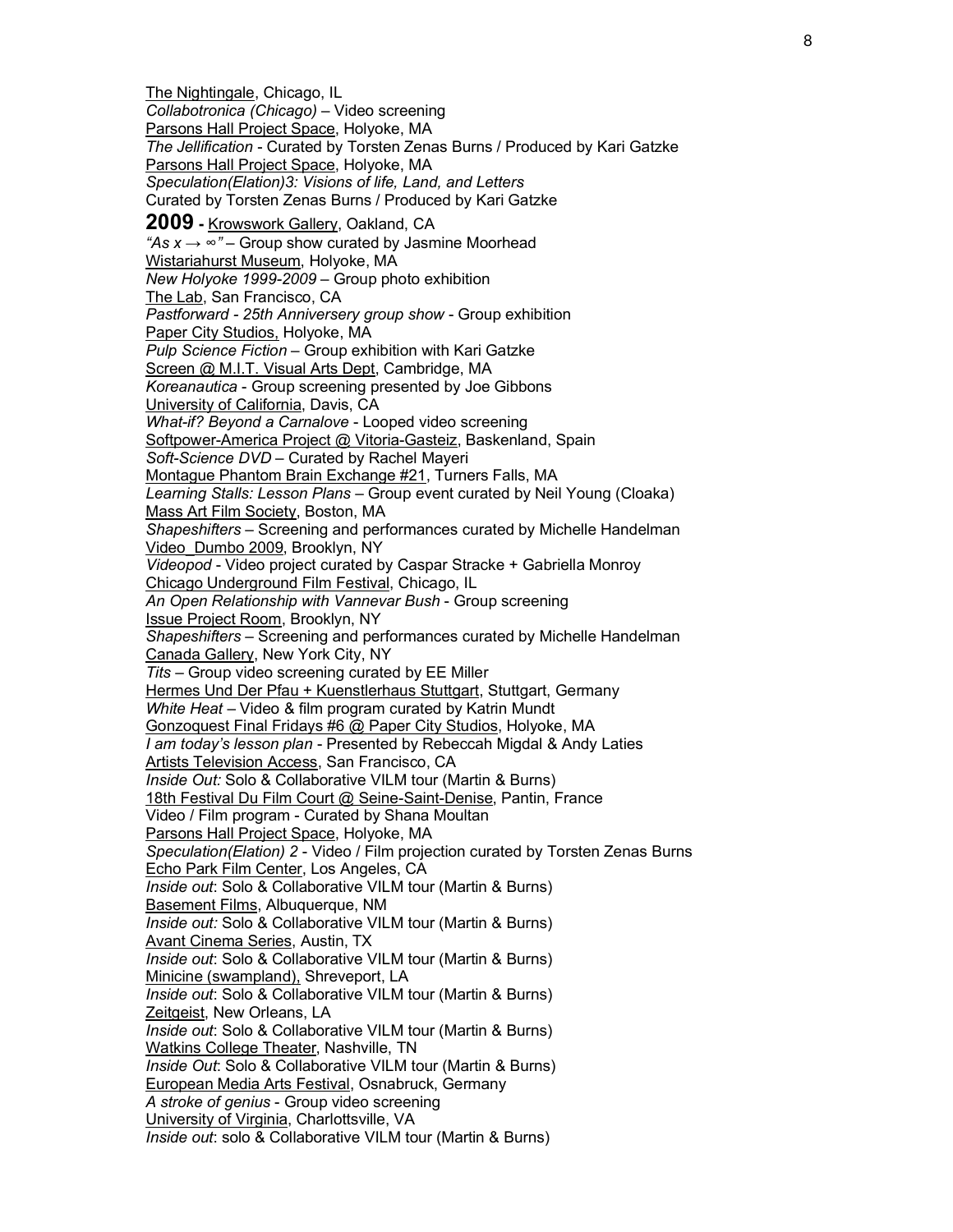The Nightingale, Chicago, IL *Collabotronica (Chicago)* – Video screening Parsons Hall Project Space, Holyoke, MA *The Jellification* - Curated by Torsten Zenas Burns / Produced by Kari Gatzke Parsons Hall Project Space, Holyoke, MA *Speculation(Elation)3: Visions of life, Land, and Letters* Curated by Torsten Zenas Burns / Produced by Kari Gatzke **2009 -** Krowswork Gallery, Oakland, CA *"As x → ∞"* – Group show curated by Jasmine Moorhead Wistariahurst Museum, Holyoke, MA *New Holyoke 1999-2009* – Group photo exhibition The Lab, San Francisco, CA *Pastforward - 25th Anniversery group show* - Group exhibition Paper City Studios, Holyoke, MA *Pulp Science Fiction* – Group exhibition with Kari Gatzke Screen @ M.I.T. Visual Arts Dept, Cambridge, MA *Koreanautica* - Group screening presented by Joe Gibbons University of California, Davis, CA *What-if? Beyond a Carnalove* - Looped video screening Softpower-America Project @ Vitoria-Gasteiz, Baskenland, Spain *Soft-Science DVD* – Curated by Rachel Mayeri Montague Phantom Brain Exchange #21, Turners Falls, MA *Learning Stalls: Lesson Plans* – Group event curated by Neil Young (Cloaka) Mass Art Film Society, Boston, MA *Shapeshifters* – Screening and performances curated by Michelle Handelman Video\_Dumbo 2009, Brooklyn, NY *Videopod* - Video project curated by Caspar Stracke + Gabriella Monroy Chicago Underground Film Festival, Chicago, IL *An Open Relationship with Vannevar Bush* - Group screening Issue Project Room, Brooklyn, NY *Shapeshifters* – Screening and performances curated by Michelle Handelman Canada Gallery, New York City, NY *Tits* – Group video screening curated by EE Miller Hermes Und Der Pfau + Kuenstlerhaus Stuttgart, Stuttgart, Germany *White Heat* – Video & film program curated by Katrin Mundt Gonzoquest Final Fridays #6 @ Paper City Studios, Holyoke, MA *I am today's lesson plan* - Presented by Rebeccah Migdal & Andy Laties Artists Television Access, San Francisco, CA *Inside Out:* Solo & Collaborative VILM tour (Martin & Burns) 18th Festival Du Film Court @ Seine-Saint-Denise, Pantin, France Video / Film program - Curated by Shana Moultan Parsons Hall Project Space, Holyoke, MA *Speculation(Elation) 2* - Video / Film projection curated by Torsten Zenas Burns Echo Park Film Center, Los Angeles, CA *Inside out*: Solo & Collaborative VILM tour (Martin & Burns) Basement Films, Albuquerque, NM *Inside out:* Solo & Collaborative VILM tour (Martin & Burns) Avant Cinema Series, Austin, TX *Inside out*: Solo & Collaborative VILM tour (Martin & Burns) Minicine (swampland), Shreveport, LA *Inside out*: Solo & Collaborative VILM tour (Martin & Burns) Zeitgeist, New Orleans, LA *Inside out*: Solo & Collaborative VILM tour (Martin & Burns) Watkins College Theater, Nashville, TN *Inside Out*: Solo & Collaborative VILM tour (Martin & Burns) European Media Arts Festival, Osnabruck, Germany *A stroke of genius* - Group video screening University of Virginia, Charlottsville, VA *Inside out*: solo & Collaborative VILM tour (Martin & Burns)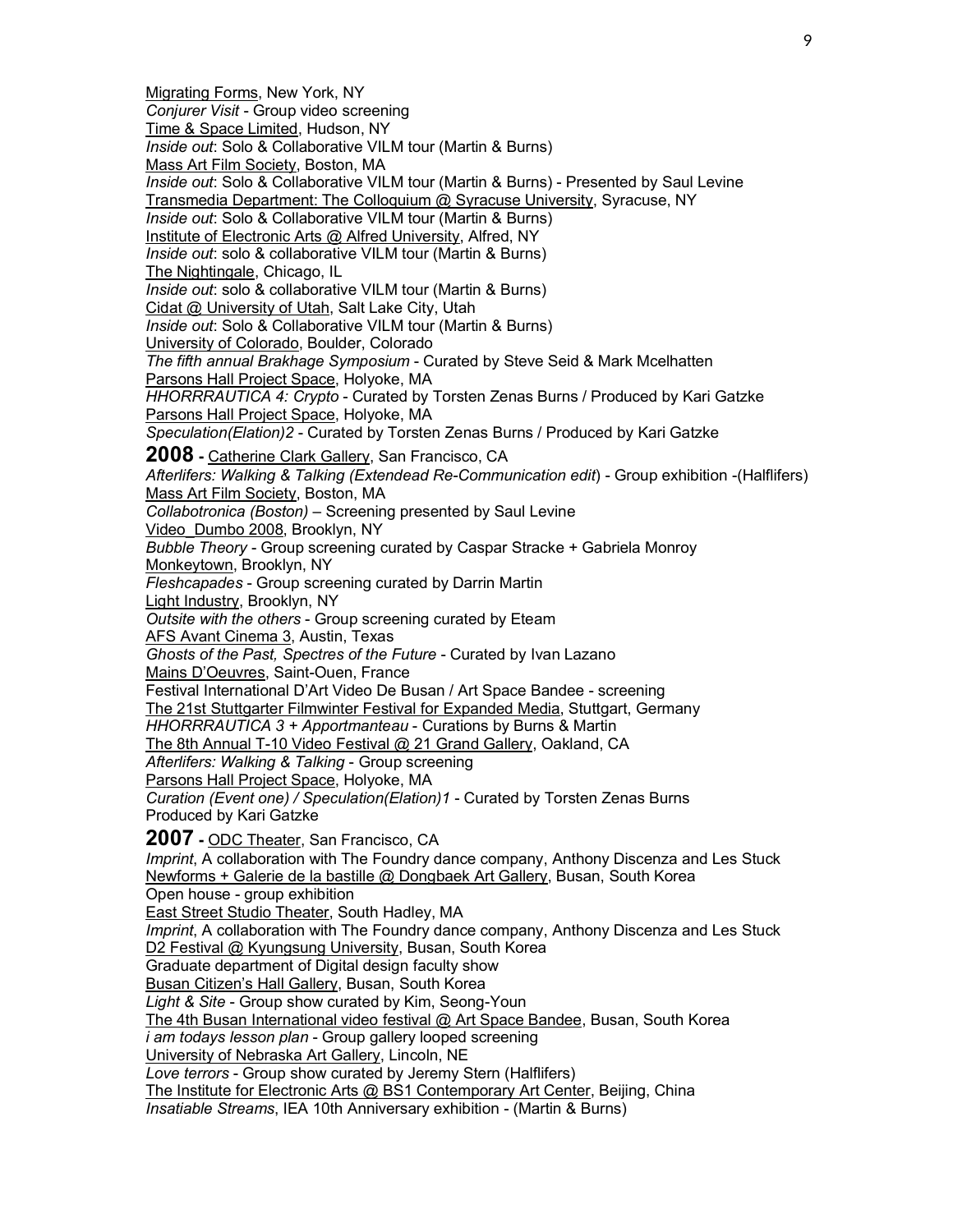Migrating Forms, New York, NY *Conjurer Visit* - Group video screening Time & Space Limited, Hudson, NY *Inside out*: Solo & Collaborative VILM tour (Martin & Burns) Mass Art Film Society, Boston, MA *Inside out*: Solo & Collaborative VILM tour (Martin & Burns) - Presented by Saul Levine Transmedia Department: The Colloquium @ Syracuse University, Syracuse, NY *Inside out*: Solo & Collaborative VILM tour (Martin & Burns) Institute of Electronic Arts @ Alfred University, Alfred, NY *Inside out*: solo & collaborative VILM tour (Martin & Burns) The Nightingale, Chicago, IL *Inside out*: solo & collaborative VILM tour (Martin & Burns) Cidat @ University of Utah, Salt Lake City, Utah *Inside out*: Solo & Collaborative VILM tour (Martin & Burns) University of Colorado, Boulder, Colorado *The fifth annual Brakhage Symposium* - Curated by Steve Seid & Mark Mcelhatten Parsons Hall Project Space, Holyoke, MA *HHORRRAUTICA 4: Crypto* - Curated by Torsten Zenas Burns / Produced by Kari Gatzke Parsons Hall Project Space, Holyoke, MA *Speculation(Elation)2* - Curated by Torsten Zenas Burns / Produced by Kari Gatzke **2008 -** Catherine Clark Gallery, San Francisco, CA *Afterlifers: Walking & Talking (Extendead Re-Communication edit*) - Group exhibition -(Halflifers) Mass Art Film Society, Boston, MA *Collabotronica (Boston)* – Screening presented by Saul Levine Video\_Dumbo 2008, Brooklyn, NY *Bubble Theory* - Group screening curated by Caspar Stracke + Gabriela Monroy Monkeytown, Brooklyn, NY *Fleshcapades* - Group screening curated by Darrin Martin Light Industry, Brooklyn, NY *Outsite with the others* - Group screening curated by Eteam AFS Avant Cinema 3, Austin, Texas *Ghosts of the Past, Spectres of the Future* - Curated by Ivan Lazano Mains D'Oeuvres, Saint-Ouen, France Festival International D'Art Video De Busan / Art Space Bandee - screening The 21st Stuttgarter Filmwinter Festival for Expanded Media, Stuttgart, Germany *HHORRRAUTICA 3 + Apportmanteau* - Curations by Burns & Martin The 8th Annual T-10 Video Festival @ 21 Grand Gallery, Oakland, CA *Afterlifers: Walking & Talking* - Group screening Parsons Hall Project Space, Holyoke, MA *Curation (Event one) / Speculation(Elation)1* - Curated by Torsten Zenas Burns Produced by Kari Gatzke **2007 -** ODC Theater, San Francisco, CA *Imprint*, A collaboration with The Foundry dance company, Anthony Discenza and Les Stuck Newforms + Galerie de la bastille @ Dongbaek Art Gallery, Busan, South Korea Open house - group exhibition East Street Studio Theater, South Hadley, MA *Imprint*, A collaboration with The Foundry dance company, Anthony Discenza and Les Stuck D2 Festival @ Kyungsung University, Busan, South Korea Graduate department of Digital design faculty show Busan Citizen's Hall Gallery, Busan, South Korea *Light & Site* - Group show curated by Kim, Seong-Youn The 4th Busan International video festival @ Art Space Bandee, Busan, South Korea *i am todays lesson plan* - Group gallery looped screening University of Nebraska Art Gallery, Lincoln, NE *Love terrors* - Group show curated by Jeremy Stern (Halflifers) The Institute for Electronic Arts @ BS1 Contemporary Art Center, Beijing, China *Insatiable Streams*, IEA 10th Anniversary exhibition - (Martin & Burns)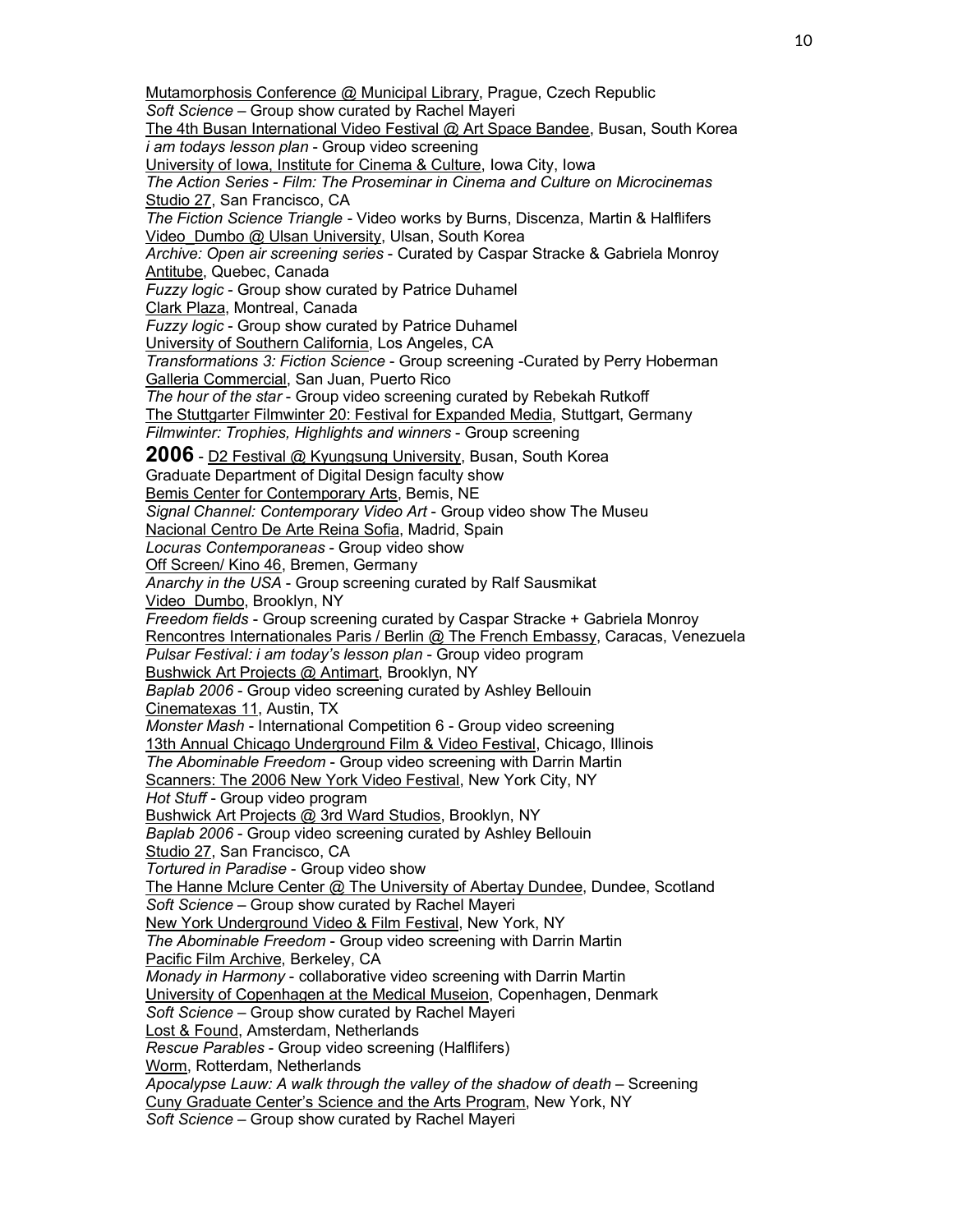Mutamorphosis Conference @ Municipal Library, Prague, Czech Republic *Soft Science* – Group show curated by Rachel Mayeri The 4th Busan International Video Festival @ Art Space Bandee, Busan, South Korea *i am todays lesson plan* - Group video screening University of Iowa, Institute for Cinema & Culture, Iowa City, Iowa *The Action Series - Film: The Proseminar in Cinema and Culture on Microcinemas* Studio 27, San Francisco, CA *The Fiction Science Triangle* - Video works by Burns, Discenza, Martin & Halflifers Video Dumbo @ Ulsan University, Ulsan, South Korea *Archive: Open air screening series* - Curated by Caspar Stracke & Gabriela Monroy Antitube, Quebec, Canada *Fuzzy logic* - Group show curated by Patrice Duhamel Clark Plaza, Montreal, Canada *Fuzzy logic* - Group show curated by Patrice Duhamel University of Southern California, Los Angeles, CA *Transformations 3: Fiction Science* - Group screening -Curated by Perry Hoberman Galleria Commercial, San Juan, Puerto Rico *The hour of the star* - Group video screening curated by Rebekah Rutkoff The Stuttgarter Filmwinter 20: Festival for Expanded Media, Stuttgart, Germany *Filmwinter: Trophies, Highlights and winners* - Group screening **2006** - D2 Festival @ Kyungsung University, Busan, South Korea Graduate Department of Digital Design faculty show Bemis Center for Contemporary Arts, Bemis, NE *Signal Channel: Contemporary Video Art* - Group video show The Museu Nacional Centro De Arte Reina Sofia, Madrid, Spain *Locuras Contemporaneas* - Group video show Off Screen/ Kino 46, Bremen, Germany *Anarchy in the USA* - Group screening curated by Ralf Sausmikat Video\_Dumbo, Brooklyn, NY *Freedom fields* - Group screening curated by Caspar Stracke + Gabriela Monroy Rencontres Internationales Paris / Berlin @ The French Embassy, Caracas, Venezuela *Pulsar Festival: i am today's lesson plan* - Group video program Bushwick Art Projects @ Antimart, Brooklyn, NY *Baplab 2006* - Group video screening curated by Ashley Bellouin Cinematexas 11, Austin, TX *Monster Mash* - International Competition 6 - Group video screening 13th Annual Chicago Underground Film & Video Festival, Chicago, Illinois *The Abominable Freedom* - Group video screening with Darrin Martin Scanners: The 2006 New York Video Festival, New York City, NY *Hot Stuff* - Group video program Bushwick Art Projects @ 3rd Ward Studios, Brooklyn, NY *Baplab 2006* - Group video screening curated by Ashley Bellouin Studio 27, San Francisco, CA *Tortured in Paradise* - Group video show The Hanne Mclure Center @ The University of Abertay Dundee, Dundee, Scotland *Soft Science* – Group show curated by Rachel Mayeri New York Underground Video & Film Festival, New York, NY *The Abominable Freedom* - Group video screening with Darrin Martin Pacific Film Archive, Berkeley, CA *Monady in Harmony* - collaborative video screening with Darrin Martin University of Copenhagen at the Medical Museion, Copenhagen, Denmark *Soft Science* – Group show curated by Rachel Mayeri Lost & Found, Amsterdam, Netherlands *Rescue Parables* - Group video screening (Halflifers) Worm, Rotterdam, Netherlands *Apocalypse Lauw: A walk through the valley of the shadow of death* – Screening Cuny Graduate Center's Science and the Arts Program, New York, NY *Soft Science* – Group show curated by Rachel Mayeri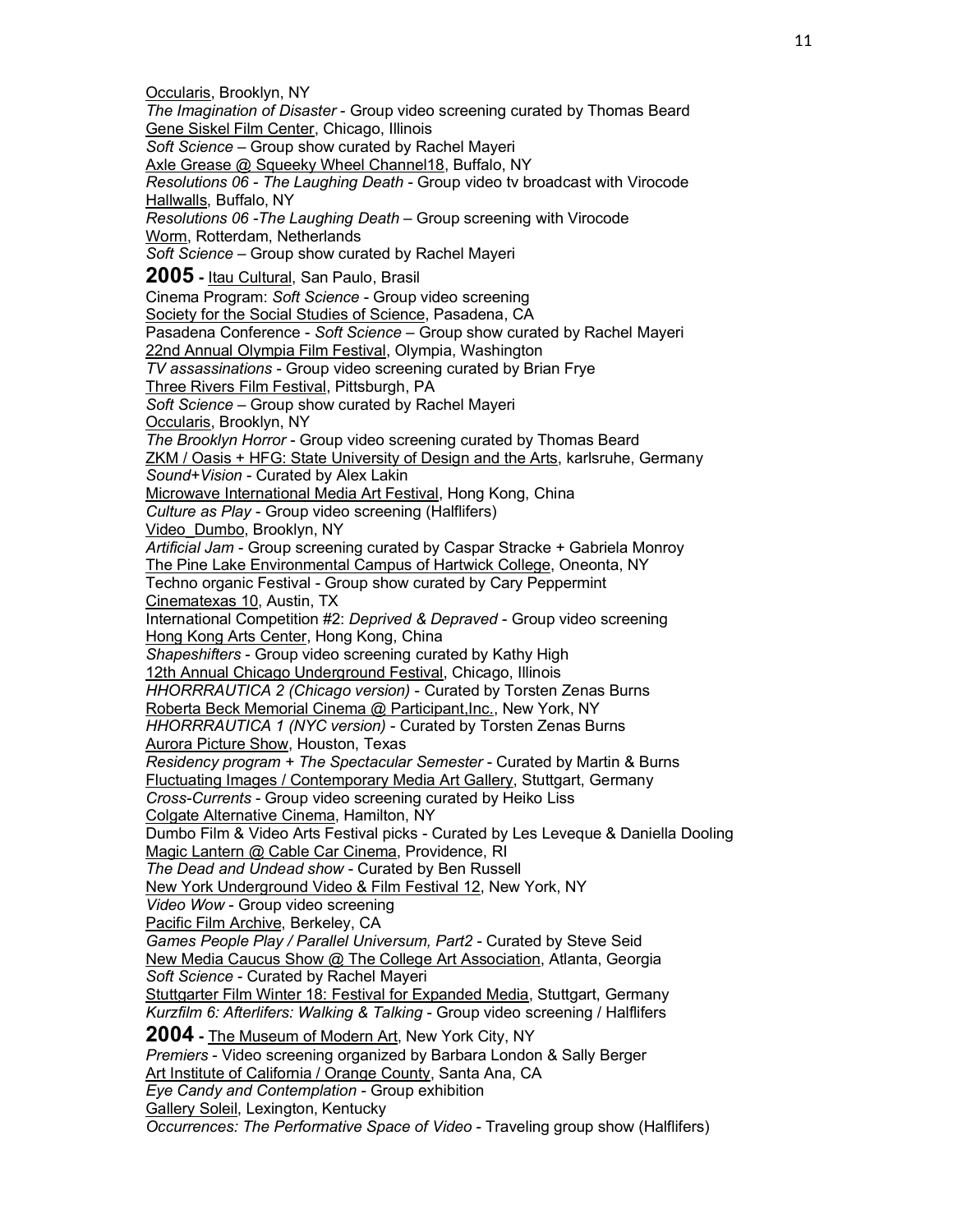Occularis, Brooklyn, NY *The Imagination of Disaster* - Group video screening curated by Thomas Beard Gene Siskel Film Center, Chicago, Illinois *Soft Science* – Group show curated by Rachel Mayeri Axle Grease @ Squeeky Wheel Channel18, Buffalo, NY *Resolutions 06 - The Laughing Death* - Group video tv broadcast with Virocode Hallwalls, Buffalo, NY *Resolutions 06 -The Laughing Death* – Group screening with Virocode Worm, Rotterdam, Netherlands *Soft Science* – Group show curated by Rachel Mayeri **2005 -** Itau Cultural, San Paulo, Brasil Cinema Program: *Soft Science* - Group video screening Society for the Social Studies of Science, Pasadena, CA Pasadena Conference - *Soft Science* – Group show curated by Rachel Mayeri 22nd Annual Olympia Film Festival, Olympia, Washington *TV assassinations* - Group video screening curated by Brian Frye Three Rivers Film Festival, Pittsburgh, PA *Soft Science* – Group show curated by Rachel Mayeri Occularis, Brooklyn, NY *The Brooklyn Horror* - Group video screening curated by Thomas Beard ZKM / Oasis + HFG: State University of Design and the Arts, karlsruhe, Germany *Sound+Vision* - Curated by Alex Lakin Microwave International Media Art Festival, Hong Kong, China *Culture as Play* - Group video screening (Halflifers) Video\_Dumbo, Brooklyn, NY *Artificial Jam* - Group screening curated by Caspar Stracke + Gabriela Monroy The Pine Lake Environmental Campus of Hartwick College, Oneonta, NY Techno organic Festival - Group show curated by Cary Peppermint Cinematexas 10, Austin, TX International Competition #2: *Deprived & Depraved* - Group video screening Hong Kong Arts Center, Hong Kong, China *Shapeshifters* - Group video screening curated by Kathy High 12th Annual Chicago Underground Festival, Chicago, Illinois *HHORRRAUTICA 2 (Chicago version)* - Curated by Torsten Zenas Burns Roberta Beck Memorial Cinema @ Participant, Inc., New York, NY *HHORRRAUTICA 1 (NYC version)* - Curated by Torsten Zenas Burns **Aurora Picture Show, Houston, Texas** *Residency program + The Spectacular Semester* - Curated by Martin & Burns Fluctuating Images / Contemporary Media Art Gallery, Stuttgart, Germany *Cross-Currents* - Group video screening curated by Heiko Liss Colgate Alternative Cinema, Hamilton, NY Dumbo Film & Video Arts Festival picks - Curated by Les Leveque & Daniella Dooling Magic Lantern @ Cable Car Cinema, Providence, RI *The Dead and Undead show* - Curated by Ben Russell New York Underground Video & Film Festival 12, New York, NY *Video Wow* - Group video screening Pacific Film Archive, Berkeley, CA *Games People Play / Parallel Universum, Part2* - Curated by Steve Seid New Media Caucus Show @ The College Art Association, Atlanta, Georgia *Soft Science* - Curated by Rachel Mayeri Stuttgarter Film Winter 18: Festival for Expanded Media, Stuttgart, Germany *Kurzfilm 6: Afterlifers: Walking & Talking* - Group video screening / Halflifers **2004 -** The Museum of Modern Art, New York City, NY *Premiers* - Video screening organized by Barbara London & Sally Berger Art Institute of California / Orange County, Santa Ana, CA *Eye Candy and Contemplation* - Group exhibition Gallery Soleil, Lexington, Kentucky *Occurrences: The Performative Space of Video* - Traveling group show (Halflifers)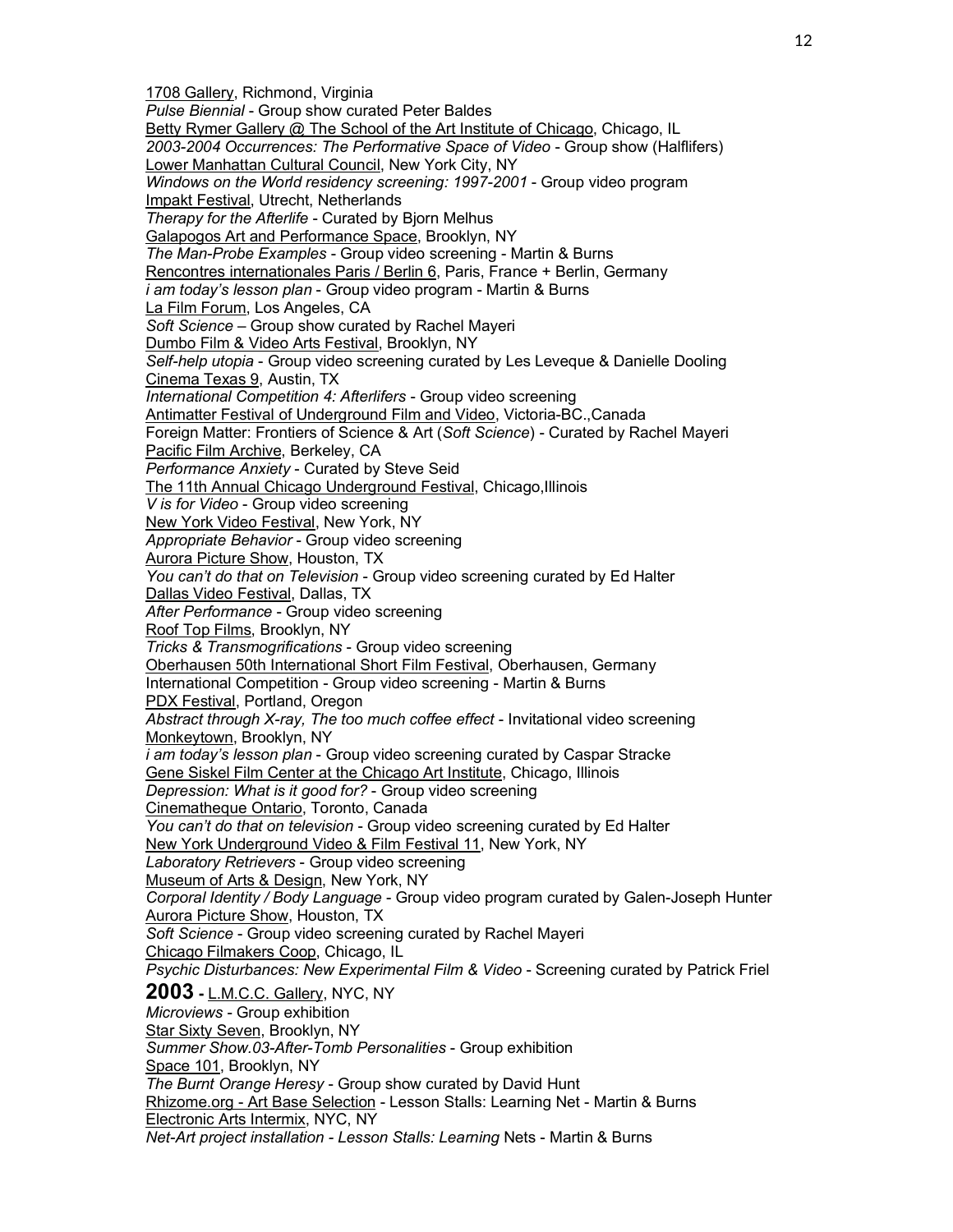1708 Gallery, Richmond, Virginia *Pulse Biennial* - Group show curated Peter Baldes Betty Rymer Gallery @ The School of the Art Institute of Chicago, Chicago, IL *2003-2004 Occurrences: The Performative Space of Video* - Group show (Halflifers) Lower Manhattan Cultural Council, New York City, NY *Windows on the World residency screening: 1997-2001* - Group video program Impakt Festival, Utrecht, Netherlands *Therapy for the Afterlife* - Curated by Bjorn Melhus Galapogos Art and Performance Space, Brooklyn, NY *The Man-Probe Examples* - Group video screening - Martin & Burns Rencontres internationales Paris / Berlin 6, Paris, France + Berlin, Germany *i am today's lesson plan* - Group video program - Martin & Burns La Film Forum, Los Angeles, CA *Soft Science* – Group show curated by Rachel Mayeri Dumbo Film & Video Arts Festival, Brooklyn, NY *Self-help utopia* - Group video screening curated by Les Leveque & Danielle Dooling Cinema Texas 9, Austin, TX *International Competition 4: Afterlifers* - Group video screening Antimatter Festival of Underground Film and Video, Victoria-BC.,Canada Foreign Matter: Frontiers of Science & Art (*Soft Science*) - Curated by Rachel Mayeri Pacific Film Archive, Berkeley, CA *Performance Anxiety* - Curated by Steve Seid The 11th Annual Chicago Underground Festival, Chicago,Illinois *V is for Video* - Group video screening New York Video Festival, New York, NY *Appropriate Behavior* - Group video screening Aurora Picture Show, Houston, TX *You can't do that on Television* - Group video screening curated by Ed Halter Dallas Video Festival, Dallas, TX *After Performance* - Group video screening Roof Top Films, Brooklyn, NY *Tricks & Transmogrifications* - Group video screening Oberhausen 50th International Short Film Festival, Oberhausen, Germany International Competition - Group video screening - Martin & Burns PDX Festival, Portland, Oregon *Abstract through X-ray, The too much coffee effect* - Invitational video screening Monkeytown, Brooklyn, NY *i am today's lesson plan* - Group video screening curated by Caspar Stracke Gene Siskel Film Center at the Chicago Art Institute, Chicago, Illinois *Depression: What is it good for?* - Group video screening Cinematheque Ontario, Toronto, Canada *You can't do that on television* - Group video screening curated by Ed Halter New York Underground Video & Film Festival 11, New York, NY *Laboratory Retrievers* - Group video screening Museum of Arts & Design, New York, NY *Corporal Identity / Body Language* - Group video program curated by Galen-Joseph Hunter Aurora Picture Show, Houston, TX *Soft Science* - Group video screening curated by Rachel Mayeri Chicago Filmakers Coop, Chicago, IL *Psychic Disturbances: New Experimental Film & Video* - Screening curated by Patrick Friel **2003 -** L.M.C.C. Gallery, NYC, NY *Microviews* - Group exhibition Star Sixty Seven, Brooklyn, NY *Summer Show.03-After-Tomb Personalities* - Group exhibition Space 101, Brooklyn, NY *The Burnt Orange Heresy* - Group show curated by David Hunt Rhizome.org - Art Base Selection - Lesson Stalls: Learning Net - Martin & Burns Electronic Arts Intermix, NYC, NY *Net-Art project installation - Lesson Stalls: Learning* Nets - Martin & Burns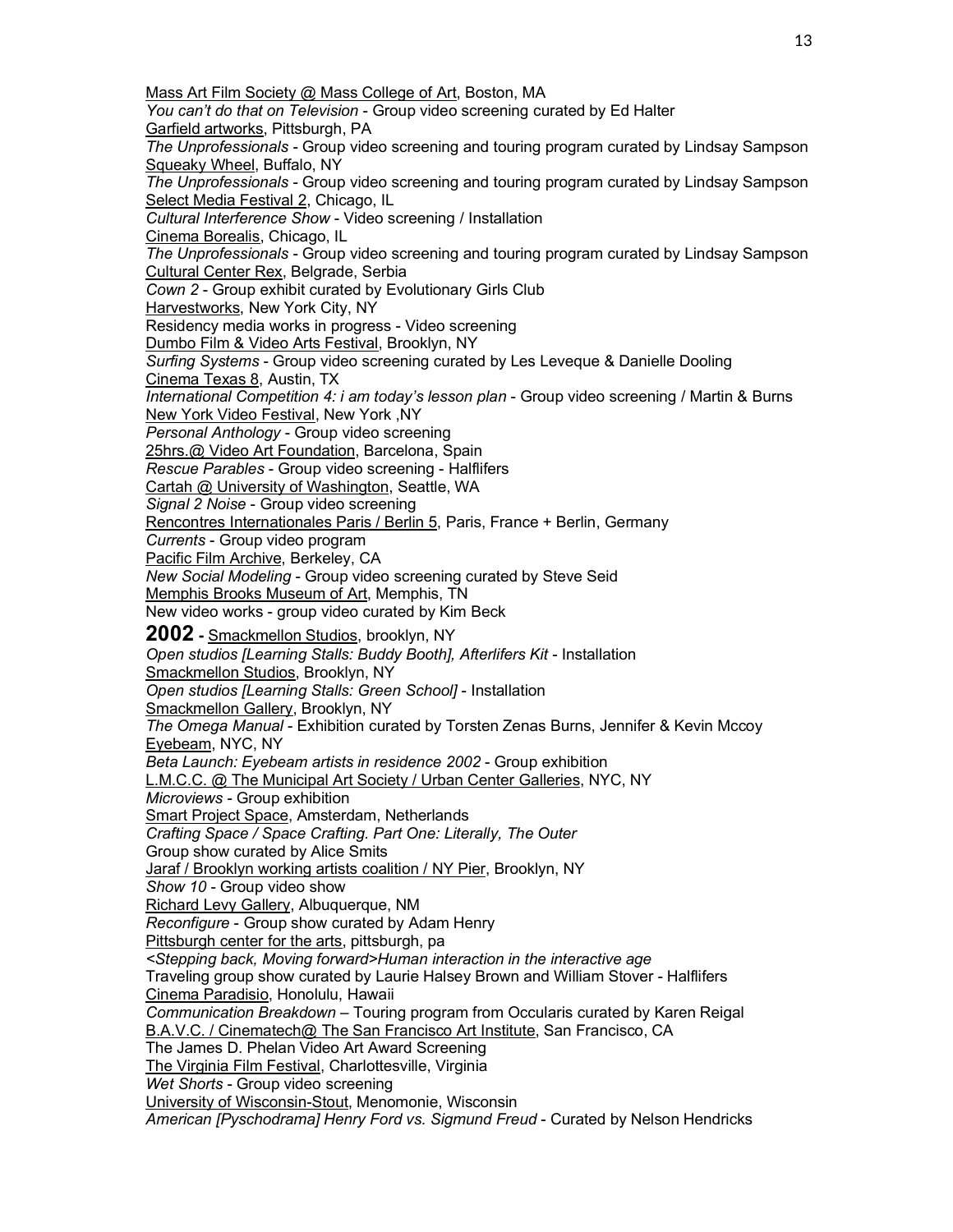Mass Art Film Society @ Mass College of Art, Boston, MA *You can't do that on Television* - Group video screening curated by Ed Halter Garfield artworks, Pittsburgh, PA *The Unprofessionals* - Group video screening and touring program curated by Lindsay Sampson Squeaky Wheel, Buffalo, NY *The Unprofessionals* - Group video screening and touring program curated by Lindsay Sampson Select Media Festival 2, Chicago, IL *Cultural Interference Show* - Video screening / Installation Cinema Borealis, Chicago, IL *The Unprofessionals* - Group video screening and touring program curated by Lindsay Sampson Cultural Center Rex, Belgrade, Serbia *Cown 2* - Group exhibit curated by Evolutionary Girls Club Harvestworks, New York City, NY Residency media works in progress - Video screening Dumbo Film & Video Arts Festival, Brooklyn, NY *Surfing Systems* - Group video screening curated by Les Leveque & Danielle Dooling Cinema Texas 8, Austin, TX *International Competition 4: i am today's lesson plan* - Group video screening / Martin & Burns New York Video Festival, New York ,NY *Personal Anthology* - Group video screening 25hrs.@ Video Art Foundation, Barcelona, Spain *Rescue Parables* - Group video screening - Halflifers Cartah @ University of Washington, Seattle, WA *Signal 2 Noise* - Group video screening Rencontres Internationales Paris / Berlin 5, Paris, France + Berlin, Germany *Currents* - Group video program Pacific Film Archive, Berkeley, CA *New Social Modeling* - Group video screening curated by Steve Seid Memphis Brooks Museum of Art, Memphis, TN New video works - group video curated by Kim Beck **2002 -** Smackmellon Studios, brooklyn, NY *Open studios [Learning Stalls: Buddy Booth], Afterlifers Kit* - Installation Smackmellon Studios, Brooklyn, NY *Open studios [Learning Stalls: Green School]* - Installation Smackmellon Gallery, Brooklyn, NY *The Omega Manual* - Exhibition curated by Torsten Zenas Burns, Jennifer & Kevin Mccoy Eyebeam, NYC, NY *Beta Launch: Eyebeam artists in residence 2002* - Group exhibition L.M.C.C. @ The Municipal Art Society / Urban Center Galleries, NYC, NY *Microviews* - Group exhibition Smart Project Space, Amsterdam, Netherlands *Crafting Space / Space Crafting. Part One: Literally, The Outer* Group show curated by Alice Smits Jaraf / Brooklyn working artists coalition / NY Pier, Brooklyn, NY *Show 10* - Group video show Richard Levy Gallery, Albuquerque, NM *Reconfigure* - Group show curated by Adam Henry Pittsburgh center for the arts, pittsburgh, pa *<Stepping back, Moving forward>Human interaction in the interactive age* Traveling group show curated by Laurie Halsey Brown and William Stover - Halflifers Cinema Paradisio, Honolulu, Hawaii *Communication Breakdown* – Touring program from Occularis curated by Karen Reigal B.A.V.C. / Cinematech@ The San Francisco Art Institute, San Francisco, CA The James D. Phelan Video Art Award Screening The Virginia Film Festival, Charlottesville, Virginia *Wet Shorts* - Group video screening University of Wisconsin-Stout, Menomonie, Wisconsin *American [Pyschodrama] Henry Ford vs. Sigmund Freud* - Curated by Nelson Hendricks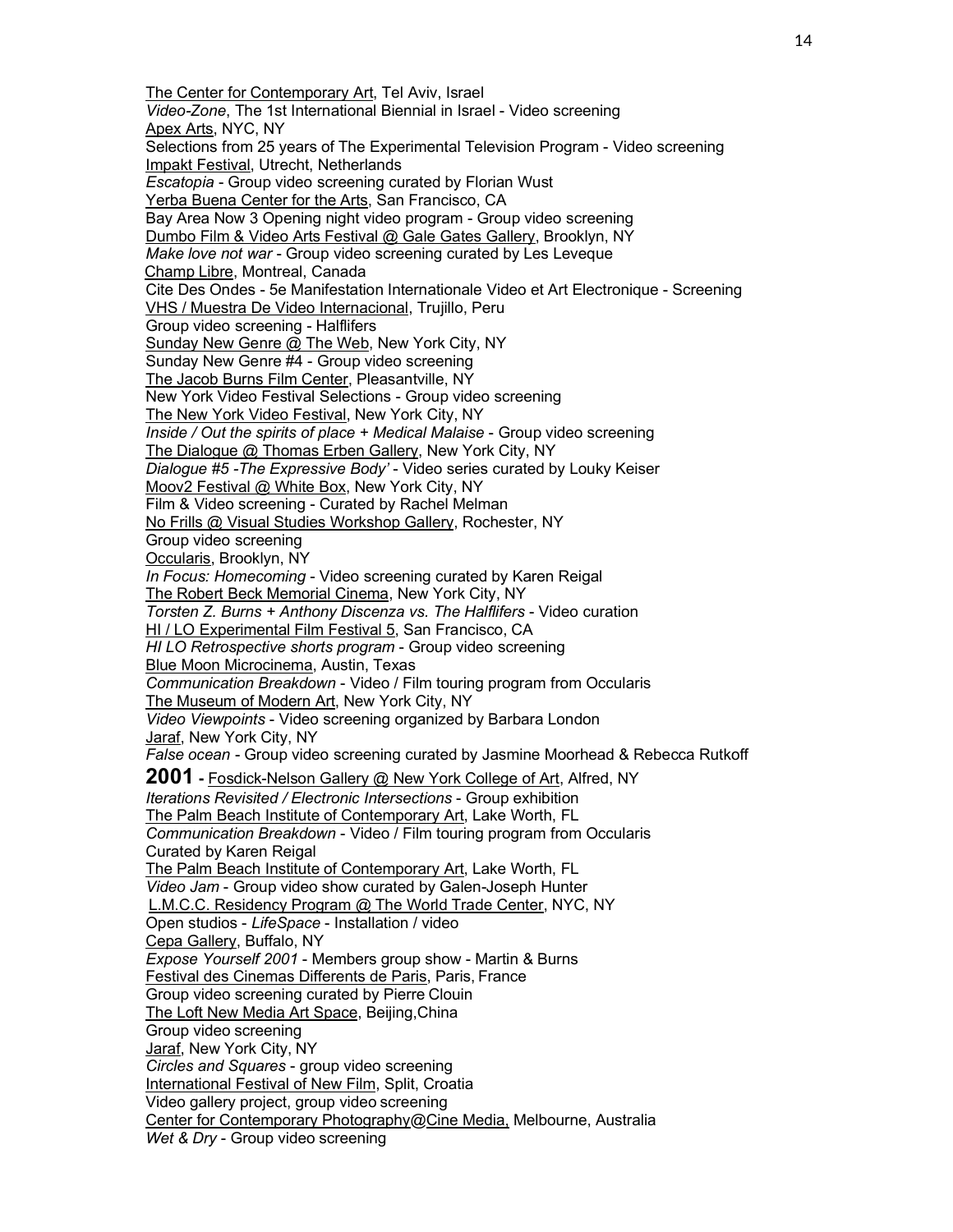The Center for Contemporary Art, Tel Aviv, Israel *Video-Zone*, The 1st International Biennial in Israel - Video screening Apex Arts, NYC, NY Selections from 25 years of The Experimental Television Program - Video screening Impakt Festival, Utrecht, Netherlands *Escatopia* - Group video screening curated by Florian Wust Yerba Buena Center for the Arts, San Francisco, CA Bay Area Now 3 Opening night video program - Group video screening Dumbo Film & Video Arts Festival @ Gale Gates Gallery, Brooklyn, NY *Make love not war* - Group video screening curated by Les Leveque Champ Libre, Montreal, Canada Cite Des Ondes - 5e Manifestation Internationale Video et Art Electronique - Screening VHS / Muestra De Video Internacional, Trujillo, Peru Group video screening - Halflifers Sunday New Genre @ The Web, New York City, NY Sunday New Genre #4 - Group video screening The Jacob Burns Film Center, Pleasantville, NY New York Video Festival Selections - Group video screening The New York Video Festival, New York City, NY *Inside / Out the spirits of place + Medical Malaise* - Group video screening The Dialogue @ Thomas Erben Gallery, New York City, NY *Dialogue #5 -The Expressive Body'* - Video series curated by Louky Keiser Moov2 Festival @ White Box, New York City, NY Film & Video screening - Curated by Rachel Melman No Frills @ Visual Studies Workshop Gallery, Rochester, NY Group video screening Occularis, Brooklyn, NY *In Focus: Homecoming* - Video screening curated by Karen Reigal The Robert Beck Memorial Cinema, New York City, NY *Torsten Z. Burns + Anthony Discenza vs. The Halflifers* - Video curation HI / LO Experimental Film Festival 5, San Francisco, CA *HI LO Retrospective shorts program* - Group video screening Blue Moon Microcinema, Austin, Texas *Communication Breakdown* - Video / Film touring program from Occularis The Museum of Modern Art, New York City, NY *Video Viewpoints* - Video screening organized by Barbara London Jaraf, New York City, NY *False ocean* - Group video screening curated by Jasmine Moorhead & Rebecca Rutkoff **2001 -** Fosdick-Nelson Gallery @ New York College of Art, Alfred, NY *Iterations Revisited / Electronic Intersections* - Group exhibition The Palm Beach Institute of Contemporary Art, Lake Worth, FL *Communication Breakdown* - Video / Film touring program from Occularis Curated by Karen Reigal The Palm Beach Institute of Contemporary Art, Lake Worth, FL *Video Jam* - Group video show curated by Galen-Joseph Hunter L.M.C.C. Residency Program @ The World Trade Center, NYC, NY Open studios - *LifeSpace* - Installation / video Cepa Gallery, Buffalo, NY *Expose Yourself 2001* - Members group show - Martin & Burns Festival des Cinemas Differents de Paris, Paris, France Group video screening curated by Pierre Clouin The Loft New Media Art Space, Beijing,China Group video screening Jaraf, New York City, NY *Circles and Squares* - group video screening International Festival of New Film, Split, Croatia Video gallery project, group video screening Center for Contemporary Photography@Cine Media, Melbourne, Australia *Wet & Dry* - Group video screening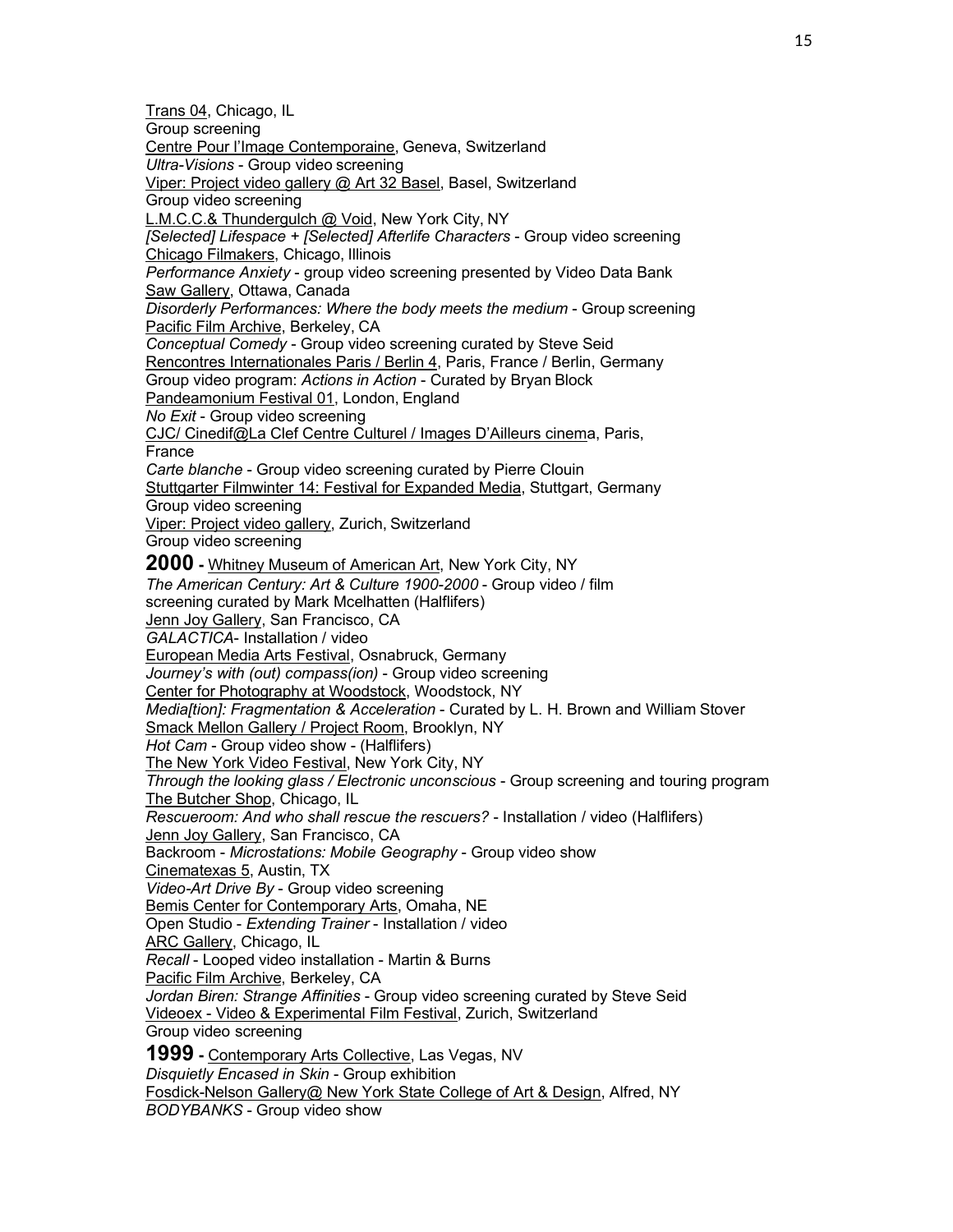Trans 04, Chicago, IL Group screening Centre Pour l'Image Contemporaine, Geneva, Switzerland *Ultra-Visions* - Group video screening Viper: Project video gallery @ Art 32 Basel, Basel, Switzerland Group video screening L.M.C.C.& Thundergulch @ Void, New York City, NY *[Selected] Lifespace + [Selected] Afterlife Characters* - Group video screening Chicago Filmakers, Chicago, Illinois *Performance Anxiety* - group video screening presented by Video Data Bank Saw Gallery, Ottawa, Canada *Disorderly Performances: Where the body meets the medium* - Group screening Pacific Film Archive, Berkeley, CA *Conceptual Comedy* - Group video screening curated by Steve Seid Rencontres Internationales Paris / Berlin 4, Paris, France / Berlin, Germany Group video program: *Actions in Action* - Curated by Bryan Block Pandeamonium Festival 01, London, England *No Exit* - Group video screening CJC/ Cinedif@La Clef Centre Culturel / Images D'Ailleurs cinema, Paris, France *Carte blanche* - Group video screening curated by Pierre Clouin Stuttgarter Filmwinter 14: Festival for Expanded Media, Stuttgart, Germany Group video screening Viper: Project video gallery, Zurich, Switzerland Group video screening **2000 -** Whitney Museum of American Art, New York City, NY *The American Century: Art & Culture 1900-2000* - Group video / film screening curated by Mark Mcelhatten (Halflifers) Jenn Joy Gallery, San Francisco, CA *GALACTICA*- Installation / video European Media Arts Festival, Osnabruck, Germany *Journey's with (out) compass(ion)* - Group video screening Center for Photography at Woodstock, Woodstock, NY *Media[tion]: Fragmentation & Acceleration* - Curated by L. H. Brown and William Stover Smack Mellon Gallery / Project Room, Brooklyn, NY *Hot Cam* - Group video show - (Halflifers) The New York Video Festival, New York City, NY *Through the looking glass / Electronic unconscious* - Group screening and touring program The Butcher Shop, Chicago, IL *Rescueroom: And who shall rescue the rescuers?* - Installation / video (Halflifers) Jenn Joy Gallery, San Francisco, CA Backroom - *Microstations: Mobile Geography* - Group video show Cinematexas 5, Austin, TX *Video-Art Drive By* - Group video screening Bemis Center for Contemporary Arts, Omaha, NE Open Studio - *Extending Trainer* - Installation / video **ARC Gallery, Chicago, IL** *Recall* - Looped video installation - Martin & Burns Pacific Film Archive, Berkeley, CA *Jordan Biren: Strange Affinities* - Group video screening curated by Steve Seid Videoex - Video & Experimental Film Festival, Zurich, Switzerland Group video screening **1999 -** Contemporary Arts Collective, Las Vegas, NV *Disquietly Encased in Skin* - Group exhibition Fosdick-Nelson Gallery@ New York State College of Art & Design, Alfred, NY *BODYBANKS* - Group video show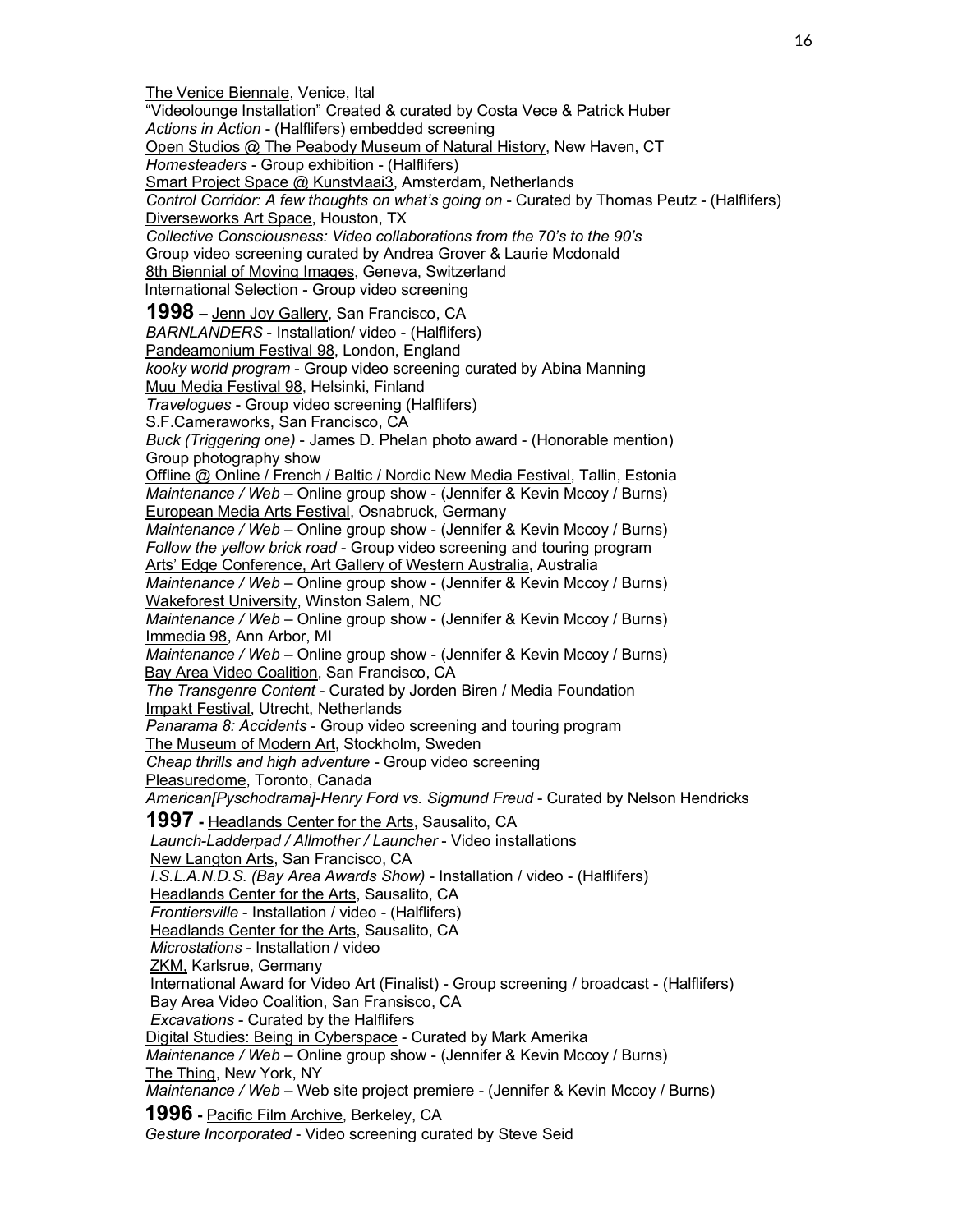The Venice Biennale, Venice, Ital "Videolounge Installation" Created & curated by Costa Vece & Patrick Huber *Actions in Action* - (Halflifers) embedded screening Open Studios @ The Peabody Museum of Natural History, New Haven, CT *Homesteaders* - Group exhibition - (Halflifers) Smart Project Space @ Kunstvlaai3, Amsterdam, Netherlands *Control Corridor: A few thoughts on what's going on* - Curated by Thomas Peutz - (Halflifers) Diverseworks Art Space, Houston, TX *Collective Consciousness: Video collaborations from the 70's to the 90's* Group video screening curated by Andrea Grover & Laurie Mcdonald 8th Biennial of Moving Images, Geneva, Switzerland International Selection - Group video screening **1998 –** Jenn Joy Gallery, San Francisco, CA *BARNLANDERS* - Installation/ video - (Halflifers) Pandeamonium Festival 98, London, England *kooky world program* - Group video screening curated by Abina Manning Muu Media Festival 98, Helsinki, Finland *Travelogues* - Group video screening (Halflifers) S.F.Cameraworks, San Francisco, CA *Buck (Triggering one)* - James D. Phelan photo award - (Honorable mention) Group photography show Offline @ Online / French / Baltic / Nordic New Media Festival, Tallin, Estonia *Maintenance / Web* – Online group show - (Jennifer & Kevin Mccoy / Burns) European Media Arts Festival, Osnabruck, Germany *Maintenance / Web* – Online group show - (Jennifer & Kevin Mccoy / Burns) *Follow the yellow brick road* - Group video screening and touring program Arts' Edge Conference, Art Gallery of Western Australia, Australia *Maintenance / Web* – Online group show - (Jennifer & Kevin Mccoy / Burns) Wakeforest University, Winston Salem, NC *Maintenance / Web* – Online group show - (Jennifer & Kevin Mccoy / Burns) Immedia 98, Ann Arbor, MI *Maintenance / Web* – Online group show - (Jennifer & Kevin Mccoy / Burns) Bay Area Video Coalition, San Francisco, CA *The Transgenre Content* - Curated by Jorden Biren / Media Foundation Impakt Festival, Utrecht, Netherlands *Panarama 8: Accidents* - Group video screening and touring program The Museum of Modern Art, Stockholm, Sweden *Cheap thrills and high adventure* - Group video screening Pleasuredome, Toronto, Canada *American[Pyschodrama]-Henry Ford vs. Sigmund Freud* - Curated by Nelson Hendricks **1997 -** Headlands Center for the Arts, Sausalito, CA *Launch-Ladderpad / Allmother / Launcher* - Video installations New Langton Arts, San Francisco, CA *I.S.L.A.N.D.S. (Bay Area Awards Show)* - Installation / video - (Halflifers) Headlands Center for the Arts, Sausalito, CA *Frontiersville* - Installation / video - (Halflifers) Headlands Center for the Arts, Sausalito, CA *Microstations* - Installation / video ZKM, Karlsrue, Germany International Award for Video Art (Finalist) - Group screening / broadcast - (Halflifers) Bay Area Video Coalition, San Fransisco, CA *Excavations* - Curated by the Halflifers Digital Studies: Being in Cyberspace - Curated by Mark Amerika *Maintenance / Web* – Online group show - (Jennifer & Kevin Mccoy / Burns) The Thing, New York, NY *Maintenance / Web* – Web site project premiere - (Jennifer & Kevin Mccoy / Burns) **1996 -** Pacific Film Archive, Berkeley, CA *Gesture Incorporated* - Video screening curated by Steve Seid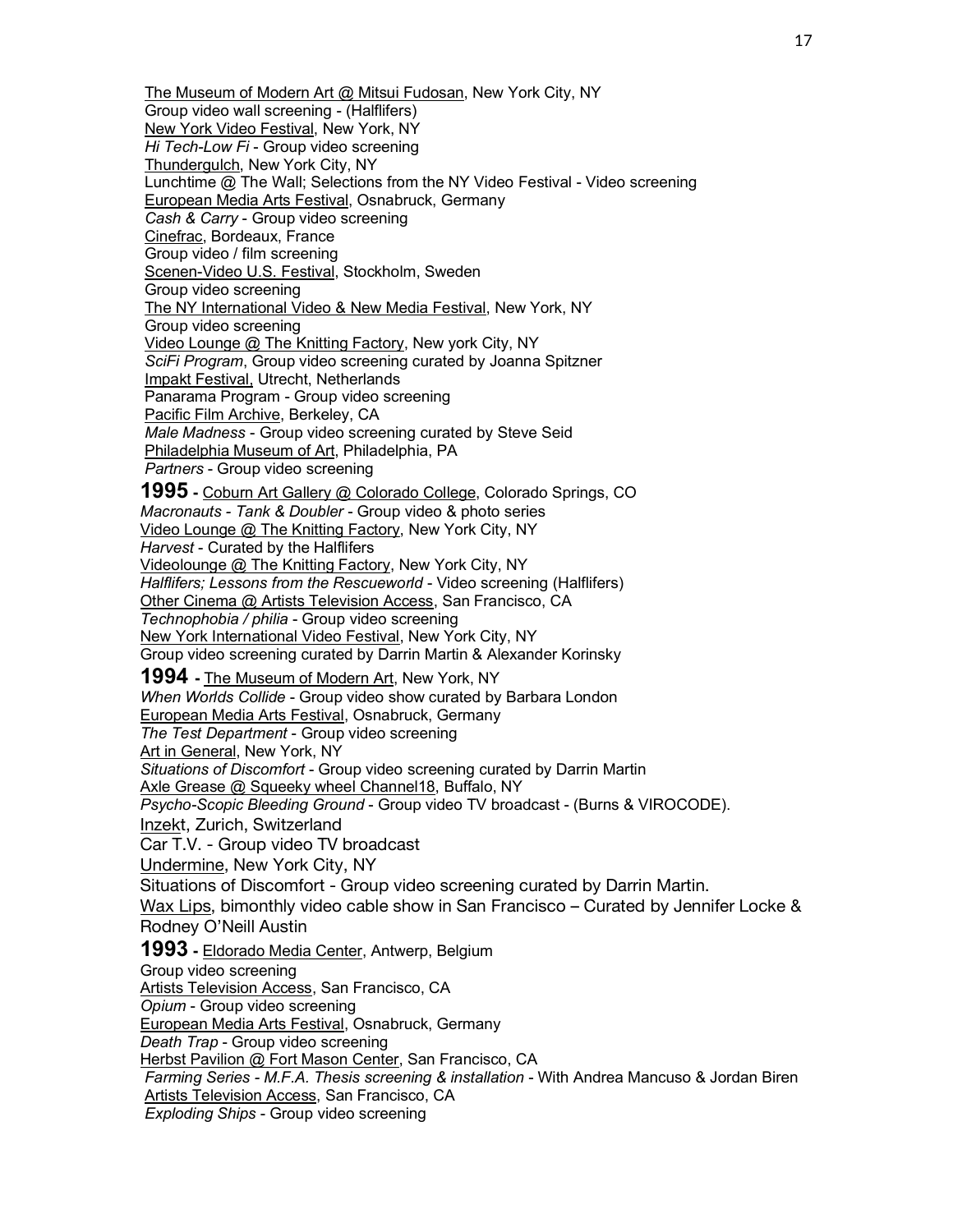The Museum of Modern Art @ Mitsui Fudosan, New York City, NY Group video wall screening - (Halflifers) New York Video Festival, New York, NY *Hi Tech-Low Fi* - Group video screening Thundergulch, New York City, NY Lunchtime @ The Wall; Selections from the NY Video Festival - Video screening European Media Arts Festival, Osnabruck, Germany *Cash & Carry* - Group video screening Cinefrac, Bordeaux, France Group video / film screening Scenen-Video U.S. Festival, Stockholm, Sweden Group video screening The NY International Video & New Media Festival, New York, NY Group video screening Video Lounge @ The Knitting Factory, New york City, NY *SciFi Program*, Group video screening curated by Joanna Spitzner Impakt Festival, Utrecht, Netherlands Panarama Program - Group video screening Pacific Film Archive, Berkeley, CA *Male Madness* - Group video screening curated by Steve Seid Philadelphia Museum of Art, Philadelphia, PA *Partners* - Group video screening **1995 -** Coburn Art Gallery @ Colorado College, Colorado Springs, CO *Macronauts - Tank & Doubler* - Group video & photo series Video Lounge @ The Knitting Factory, New York City, NY *Harvest* - Curated by the Halflifers Videolounge @ The Knitting Factory, New York City, NY *Halflifers; Lessons from the Rescueworld* - Video screening (Halflifers) Other Cinema @ Artists Television Access, San Francisco, CA *Technophobia / philia* - Group video screening New York International Video Festival, New York City, NY Group video screening curated by Darrin Martin & Alexander Korinsky **1994 -** The Museum of Modern Art, New York, NY *When Worlds Collide* - Group video show curated by Barbara London European Media Arts Festival, Osnabruck, Germany *The Test Department* - Group video screening Art in General, New York, NY *Situations of Discomfort* - Group video screening curated by Darrin Martin Axle Grease @ Squeeky wheel Channel18, Buffalo, NY *Psycho-Scopic Bleeding Ground* - Group video TV broadcast - (Burns & VIROCODE). Inzekt, Zurich, Switzerland Car T.V. - Group video TV broadcast Undermine, New York City, NY Situations of Discomfort - Group video screening curated by Darrin Martin. Wax Lips, bimonthly video cable show in San Francisco – Curated by Jennifer Locke & Rodney O'Neill Austin **1993 -** Eldorado Media Center, Antwerp, Belgium Group video screening Artists Television Access, San Francisco, CA *Opium* - Group video screening European Media Arts Festival, Osnabruck, Germany *Death Trap* - Group video screening Herbst Pavilion @ Fort Mason Center, San Francisco, CA *Farming Series - M.F.A. Thesis screening & installation* - With Andrea Mancuso & Jordan Biren Artists Television Access, San Francisco, CA *Exploding Ships* - Group video screening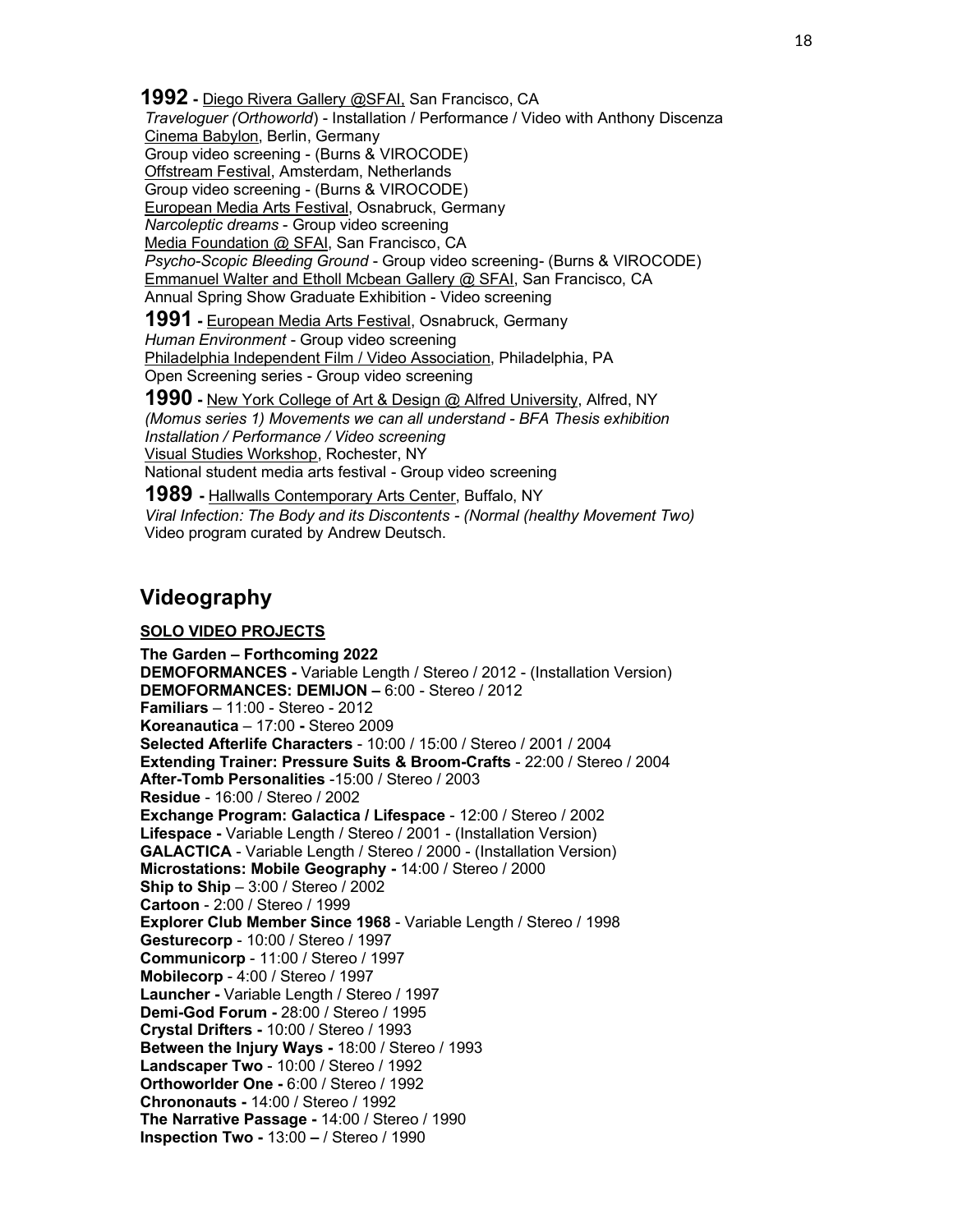**1992 -** Diego Rivera Gallery @SFAI, San Francisco, CA *Traveloguer (Orthoworld*) - Installation / Performance / Video with Anthony Discenza Cinema Babylon, Berlin, Germany Group video screening - (Burns & VIROCODE) Offstream Festival, Amsterdam, Netherlands Group video screening - (Burns & VIROCODE) European Media Arts Festival, Osnabruck, Germany *Narcoleptic dreams* - Group video screening Media Foundation @ SFAI, San Francisco, CA *Psycho-Scopic Bleeding Ground* - Group video screening- (Burns & VIROCODE) Emmanuel Walter and Etholl Mcbean Gallery @ SFAI, San Francisco, CA Annual Spring Show Graduate Exhibition - Video screening

**1991 -** European Media Arts Festival, Osnabruck, Germany *Human Environment* - Group video screening Philadelphia Independent Film / Video Association, Philadelphia, PA Open Screening series - Group video screening

**1990 -** New York College of Art & Design @ Alfred University, Alfred, NY *(Momus series 1) Movements we can all understand - BFA Thesis exhibition Installation / Performance / Video screening* Visual Studies Workshop, Rochester, NY National student media arts festival - Group video screening

**1989 -** Hallwalls Contemporary Arts Center, Buffalo, NY *Viral Infection: The Body and its Discontents - (Normal (healthy Movement Two)* Video program curated by Andrew Deutsch.

## **Videography**

### **SOLO VIDEO PROJECTS**

**The Garden – Forthcoming 2022 DEMOFORMANCES -** Variable Length / Stereo / 2012 - (Installation Version) **DEMOFORMANCES: DEMIJON –** 6:00 - Stereo / 2012 **Familiars** – 11:00 - Stereo - 2012 **Koreanautica** – 17:00 **-** Stereo 2009 **Selected Afterlife Characters** - 10:00 / 15:00 / Stereo / 2001 / 2004 **Extending Trainer: Pressure Suits & Broom-Crafts** - 22:00 / Stereo / 2004 **After-Tomb Personalities** -15:00 / Stereo / 2003 **Residue** - 16:00 / Stereo / 2002 **Exchange Program: Galactica / Lifespace** - 12:00 / Stereo / 2002 **Lifespace -** Variable Length / Stereo / 2001 - (Installation Version) **GALACTICA** - Variable Length / Stereo / 2000 - (Installation Version) **Microstations: Mobile Geography -** 14:00 / Stereo / 2000 **Ship to Ship** – 3:00 / Stereo / 2002 **Cartoon** - 2:00 / Stereo / 1999 **Explorer Club Member Since 1968** - Variable Length / Stereo / 1998 **Gesturecorp** - 10:00 / Stereo / 1997 **Communicorp** - 11:00 / Stereo / 1997 **Mobilecorp** - 4:00 / Stereo / 1997 **Launcher -** Variable Length / Stereo / 1997 **Demi-God Forum -** 28:00 / Stereo / 1995 **Crystal Drifters -** 10:00 / Stereo / 1993 **Between the Injury Ways -** 18:00 / Stereo / 1993 **Landscaper Two** - 10:00 / Stereo / 1992 **Orthoworlder One -** 6:00 / Stereo / 1992 **Chrononauts -** 14:00 / Stereo / 1992 **The Narrative Passage -** 14:00 / Stereo / 1990 **Inspection Two -** 13:00 **–** / Stereo / 1990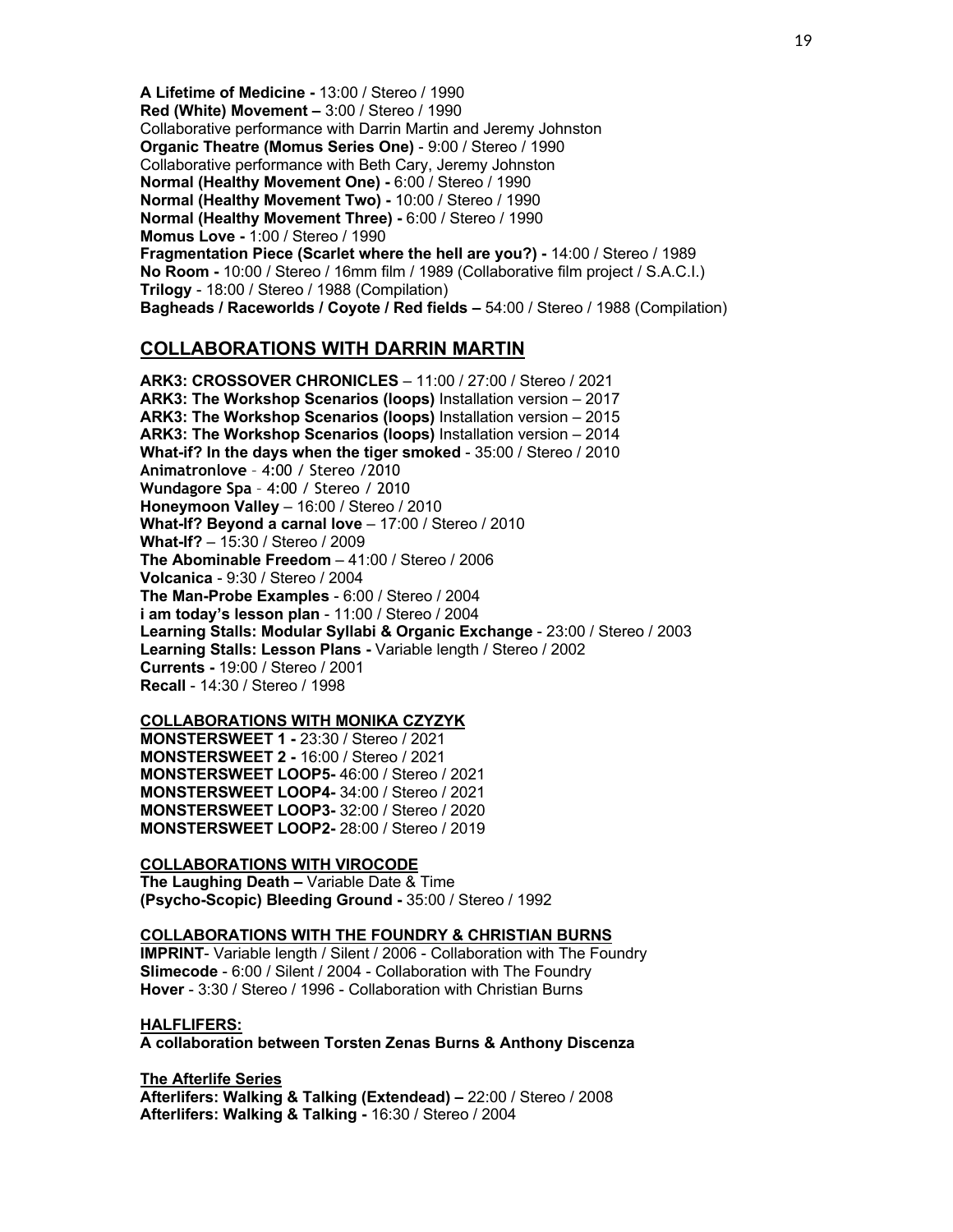**A Lifetime of Medicine -** 13:00 / Stereo / 1990 **Red (White) Movement –** 3:00 / Stereo / 1990 Collaborative performance with Darrin Martin and Jeremy Johnston **Organic Theatre (Momus Series One)** - 9:00 / Stereo / 1990 Collaborative performance with Beth Cary, Jeremy Johnston **Normal (Healthy Movement One) -** 6:00 / Stereo / 1990 **Normal (Healthy Movement Two) -** 10:00 / Stereo / 1990 **Normal (Healthy Movement Three) -** 6:00 / Stereo / 1990 **Momus Love -** 1:00 / Stereo / 1990 **Fragmentation Piece (Scarlet where the hell are you?) -** 14:00 / Stereo / 1989 **No Room -** 10:00 / Stereo / 16mm film / 1989 (Collaborative film project / S.A.C.I.) **Trilogy** - 18:00 / Stereo / 1988 (Compilation) **Bagheads / Raceworlds / Coyote / Red fields –** 54:00 / Stereo / 1988 (Compilation)

## **COLLABORATIONS WITH DARRIN MARTIN**

**ARK3: CROSSOVER CHRONICLES** – 11:00 / 27:00 / Stereo / 2021 **ARK3: The Workshop Scenarios (loops)** Installation version – 2017 **ARK3: The Workshop Scenarios (loops)** Installation version – 2015 **ARK3: The Workshop Scenarios (loops)** Installation version – 2014 **What-if? In the days when the tiger smoked** - 35:00 / Stereo / 2010 **Animatronlove** – 4:00 / Stereo /2010 **Wundagore Spa** – 4:00 / Stereo / 2010 **Honeymoon Valley** – 16:00 / Stereo / 2010 **What-If? Beyond a carnal love** – 17:00 / Stereo / 2010 **What-If?** – 15:30 / Stereo / 2009 **The Abominable Freedom** – 41:00 / Stereo / 2006 **Volcanica** - 9:30 / Stereo / 2004 **The Man-Probe Examples** - 6:00 / Stereo / 2004 **i am today's lesson plan** - 11:00 / Stereo / 2004 **Learning Stalls: Modular Syllabi & Organic Exchange** - 23:00 / Stereo / 2003 **Learning Stalls: Lesson Plans -** Variable length / Stereo / 2002 **Currents -** 19:00 / Stereo / 2001 **Recall** - 14:30 / Stereo / 1998

### **COLLABORATIONS WITH MONIKA CZYZYK**

**MONSTERSWEET 1 -** 23:30 / Stereo / 2021 **MONSTERSWEET 2 -** 16:00 / Stereo / 2021 **MONSTERSWEET LOOP5-** 46:00 / Stereo / 2021 **MONSTERSWEET LOOP4-** 34:00 / Stereo / 2021 **MONSTERSWEET LOOP3-** 32:00 / Stereo / 2020 **MONSTERSWEET LOOP2-** 28:00 / Stereo / 2019

#### **COLLABORATIONS WITH VIROCODE**

**The Laughing Death –** Variable Date & Time **(Psycho-Scopic) Bleeding Ground -** 35:00 / Stereo / 1992

#### **COLLABORATIONS WITH THE FOUNDRY & CHRISTIAN BURNS**

**IMPRINT**- Variable length / Silent / 2006 - Collaboration with The Foundry **Slimecode** - 6:00 / Silent / 2004 - Collaboration with The Foundry **Hover** - 3:30 / Stereo / 1996 - Collaboration with Christian Burns

#### **HALFLIFERS:**

**A collaboration between Torsten Zenas Burns & Anthony Discenza**

#### **The Afterlife Series**

**Afterlifers: Walking & Talking (Extendead) –** 22:00 / Stereo / 2008 **Afterlifers: Walking & Talking -** 16:30 / Stereo / 2004